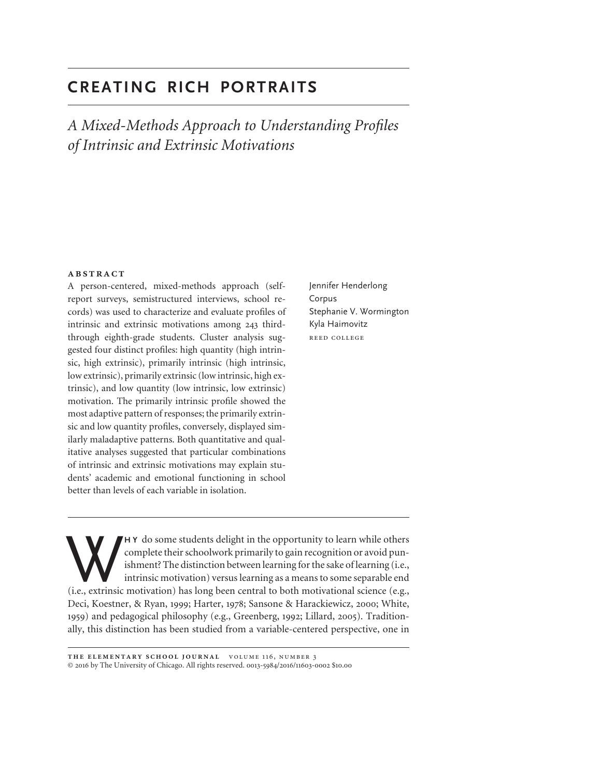# **CREATING RICH PORTRAITS**

*A Mixed-Methods Approach to Understanding Profiles of Intrinsic and Extrinsic Motivations*

#### **ABSTRACT**

A person-centered, mixed-methods approach (selfreport surveys, semistructured interviews, school records) was used to characterize and evaluate profiles of intrinsic and extrinsic motivations among 243 thirdthrough eighth-grade students. Cluster analysis suggested four distinct profiles: high quantity (high intrinsic, high extrinsic), primarily intrinsic (high intrinsic, low extrinsic), primarily extrinsic (low intrinsic, high extrinsic), and low quantity (low intrinsic, low extrinsic) motivation. The primarily intrinsic profile showed the most adaptive pattern of responses; the primarily extrinsic and low quantity profiles, conversely, displayed similarly maladaptive patterns. Both quantitative and qualitative analyses suggested that particular combinations of intrinsic and extrinsic motivations may explain students' academic and emotional functioning in school better than levels of each variable in isolation.

Jennifer Henderlong Corpus Stephanie V. Wormington Kyla Haimovitz reed college

**HY** do some students delight in the opportunity to learn while others<br>
complete their schoolwork primarily to gain recognition or avoid pun-<br>
ishment? The distinction between learning for the sake of learning (i.e.,<br>
intr complete their schoolwork primarily to gain recognition or avoid punishment? The distinction between learning for the sake of learning (i.e., intrinsic motivation) versus learning as a means to some separable end Deci, Koestner, & Ryan, 1999; Harter, 1978; Sansone & Harackiewicz, 2000; White, 1959) and pedagogical philosophy (e.g., Greenberg, 1992; Lillard, 2005). Traditionally, this distinction has been studied from a variable-centered perspective, one in

**the elementary school journal** volume 116, number 3 © 2016 by The University of Chicago. All rights reserved. 0013-5984/2016/11603-0002 \$10.00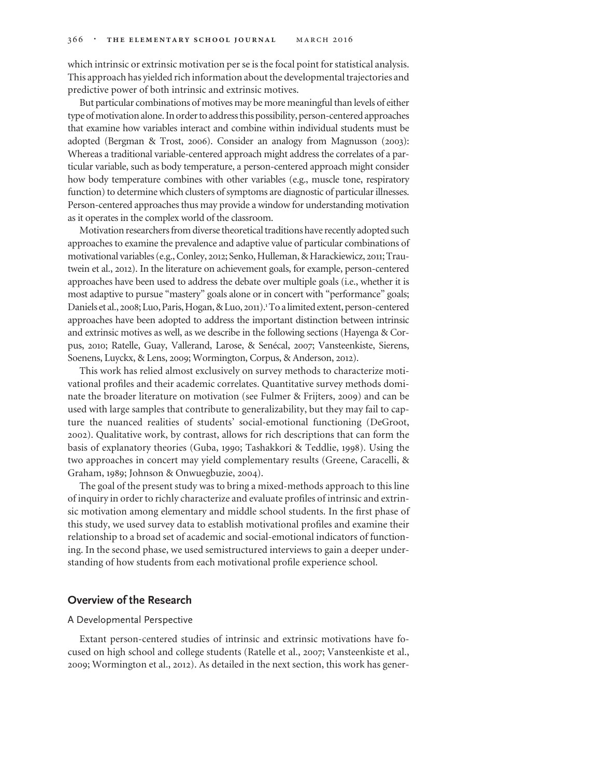which intrinsic or extrinsic motivation per se is the focal point for statistical analysis. This approach has yielded rich information about the developmental trajectories and predictive power of both intrinsic and extrinsic motives.

But particular combinations of motives may be more meaningful than levels of either type ofmotivation alone. In order to address this possibility, person-centered approaches that examine how variables interact and combine within individual students must be adopted (Bergman & Trost, 2006). Consider an analogy from Magnusson (2003): Whereas a traditional variable-centered approach might address the correlates of a particular variable, such as body temperature, a person-centered approach might consider how body temperature combines with other variables (e.g., muscle tone, respiratory function) to determine which clusters of symptoms are diagnostic of particular illnesses. Person-centered approaches thus may provide a window for understanding motivation as it operates in the complex world of the classroom.

Motivation researchersfrom diverse theoretical traditions have recently adopted such approaches to examine the prevalence and adaptive value of particular combinations of motivational variables (e.g., Conley, 2012; Senko, Hulleman, & Harackiewicz, 2011; Trautwein et al., 2012). In the literature on achievement goals, for example, person-centered approaches have been used to address the debate over multiple goals (i.e., whether it is most adaptive to pursue "mastery" goals alone or in concert with "performance" goals; Daniels et al., 2008; Luo, Paris, Hogan, & Luo, 2011).<sup>1</sup> To a limited extent, person-centered approaches have been adopted to address the important distinction between intrinsic and extrinsic motives as well, as we describe in the following sections (Hayenga & Corpus, 2010; Ratelle, Guay, Vallerand, Larose, & Senécal, 2007; Vansteenkiste, Sierens, Soenens, Luyckx, & Lens, 2009; Wormington, Corpus, & Anderson, 2012).

This work has relied almost exclusively on survey methods to characterize motivational profiles and their academic correlates. Quantitative survey methods dominate the broader literature on motivation (see Fulmer & Frijters, 2009) and can be used with large samples that contribute to generalizability, but they may fail to capture the nuanced realities of students' social-emotional functioning (DeGroot, 2002). Qualitative work, by contrast, allows for rich descriptions that can form the basis of explanatory theories (Guba, 1990; Tashakkori & Teddlie, 1998). Using the two approaches in concert may yield complementary results (Greene, Caracelli, & Graham, 1989; Johnson & Onwuegbuzie, 2004).

The goal of the present study was to bring a mixed-methods approach to this line of inquiry in order to richly characterize and evaluate profiles of intrinsic and extrinsic motivation among elementary and middle school students. In the first phase of this study, we used survey data to establish motivational profiles and examine their relationship to a broad set of academic and social-emotional indicators of functioning. In the second phase, we used semistructured interviews to gain a deeper understanding of how students from each motivational profile experience school.

# **Overview of the Research**

#### A Developmental Perspective

Extant person-centered studies of intrinsic and extrinsic motivations have focused on high school and college students (Ratelle et al., 2007; Vansteenkiste et al., 2009; Wormington et al., 2012). As detailed in the next section, this work has gener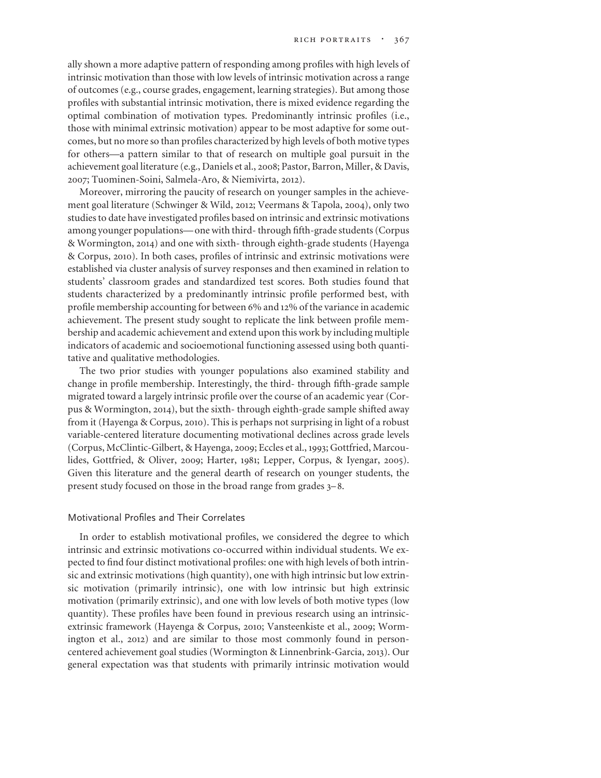ally shown a more adaptive pattern of responding among profiles with high levels of intrinsic motivation than those with low levels of intrinsic motivation across a range of outcomes (e.g., course grades, engagement, learning strategies). But among those profiles with substantial intrinsic motivation, there is mixed evidence regarding the optimal combination of motivation types. Predominantly intrinsic profiles (i.e., those with minimal extrinsic motivation) appear to be most adaptive for some outcomes, but no more so than profiles characterized by high levels of both motive types for others—a pattern similar to that of research on multiple goal pursuit in the achievement goal literature (e.g., Daniels et al., 2008; Pastor, Barron, Miller, & Davis, 2007; Tuominen-Soini, Salmela-Aro, & Niemivirta, 2012).

Moreover, mirroring the paucity of research on younger samples in the achievement goal literature (Schwinger & Wild, 2012; Veermans & Tapola, 2004), only two studies to date have investigated profiles based on intrinsic and extrinsic motivations among younger populations— one with third- through fifth-grade students (Corpus & Wormington, 2014) and one with sixth- through eighth-grade students (Hayenga & Corpus, 2010). In both cases, profiles of intrinsic and extrinsic motivations were established via cluster analysis of survey responses and then examined in relation to students' classroom grades and standardized test scores. Both studies found that students characterized by a predominantly intrinsic profile performed best, with profile membership accounting for between 6% and 12% of the variance in academic achievement. The present study sought to replicate the link between profile membership and academic achievement and extend upon this work by including multiple indicators of academic and socioemotional functioning assessed using both quantitative and qualitative methodologies.

The two prior studies with younger populations also examined stability and change in profile membership. Interestingly, the third- through fifth-grade sample migrated toward a largely intrinsic profile over the course of an academic year (Corpus & Wormington, 2014), but the sixth- through eighth-grade sample shifted away from it (Hayenga & Corpus, 2010). This is perhaps not surprising in light of a robust variable-centered literature documenting motivational declines across grade levels (Corpus, McClintic-Gilbert, & Hayenga, 2009; Eccles et al., 1993; Gottfried, Marcoulides, Gottfried, & Oliver, 2009; Harter, 1981; Lepper, Corpus, & Iyengar, 2005). Given this literature and the general dearth of research on younger students, the present study focused on those in the broad range from grades 3–8.

### Motivational Profiles and Their Correlates

In order to establish motivational profiles, we considered the degree to which intrinsic and extrinsic motivations co-occurred within individual students. We expected to find four distinct motivational profiles: one with high levels of both intrinsic and extrinsic motivations (high quantity), one with high intrinsic but low extrinsic motivation (primarily intrinsic), one with low intrinsic but high extrinsic motivation (primarily extrinsic), and one with low levels of both motive types (low quantity). These profiles have been found in previous research using an intrinsicextrinsic framework (Hayenga & Corpus, 2010; Vansteenkiste et al., 2009; Wormington et al., 2012) and are similar to those most commonly found in personcentered achievement goal studies (Wormington & Linnenbrink-Garcia, 2013). Our general expectation was that students with primarily intrinsic motivation would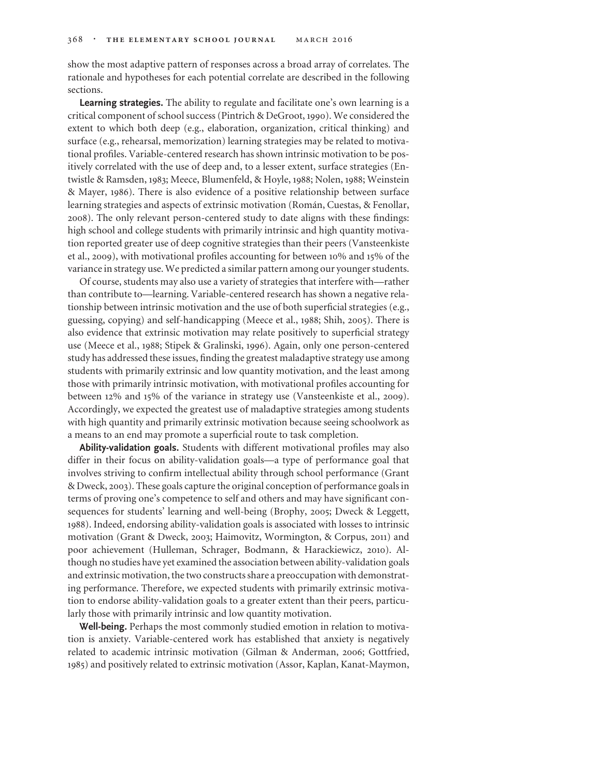show the most adaptive pattern of responses across a broad array of correlates. The rationale and hypotheses for each potential correlate are described in the following sections.

**Learning strategies.** The ability to regulate and facilitate one's own learning is a critical component of school success (Pintrich & DeGroot, 1990). We considered the extent to which both deep (e.g., elaboration, organization, critical thinking) and surface (e.g., rehearsal, memorization) learning strategies may be related to motivational profiles. Variable-centered research has shown intrinsic motivation to be positively correlated with the use of deep and, to a lesser extent, surface strategies (Entwistle & Ramsden, 1983; Meece, Blumenfeld, & Hoyle, 1988; Nolen, 1988; Weinstein & Mayer, 1986). There is also evidence of a positive relationship between surface learning strategies and aspects of extrinsic motivation (Román, Cuestas, & Fenollar, 2008). The only relevant person-centered study to date aligns with these findings: high school and college students with primarily intrinsic and high quantity motivation reported greater use of deep cognitive strategies than their peers (Vansteenkiste et al., 2009), with motivational profiles accounting for between 10% and 15% of the variance in strategy use. We predicted a similar pattern among our younger students.

Of course, students may also use a variety of strategies that interfere with—rather than contribute to—learning. Variable-centered research has shown a negative relationship between intrinsic motivation and the use of both superficial strategies (e.g., guessing, copying) and self-handicapping (Meece et al., 1988; Shih, 2005). There is also evidence that extrinsic motivation may relate positively to superficial strategy use (Meece et al., 1988; Stipek & Gralinski, 1996). Again, only one person-centered study has addressed these issues, finding the greatest maladaptive strategy use among students with primarily extrinsic and low quantity motivation, and the least among those with primarily intrinsic motivation, with motivational profiles accounting for between 12% and 15% of the variance in strategy use (Vansteenkiste et al., 2009). Accordingly, we expected the greatest use of maladaptive strategies among students with high quantity and primarily extrinsic motivation because seeing schoolwork as a means to an end may promote a superficial route to task completion.

**Ability-validation goals.** Students with different motivational profiles may also differ in their focus on ability-validation goals—a type of performance goal that involves striving to confirm intellectual ability through school performance (Grant & Dweck, 2003). These goals capture the original conception of performance goals in terms of proving one's competence to self and others and may have significant consequences for students' learning and well-being (Brophy, 2005; Dweck & Leggett, 1988). Indeed, endorsing ability-validation goals is associated with losses to intrinsic motivation (Grant & Dweck, 2003; Haimovitz, Wormington, & Corpus, 2011) and poor achievement (Hulleman, Schrager, Bodmann, & Harackiewicz, 2010). Although no studies have yet examined the association between ability-validation goals and extrinsic motivation, the two constructs share a preoccupation with demonstrating performance. Therefore, we expected students with primarily extrinsic motivation to endorse ability-validation goals to a greater extent than their peers, particularly those with primarily intrinsic and low quantity motivation.

**Well-being.** Perhaps the most commonly studied emotion in relation to motivation is anxiety. Variable-centered work has established that anxiety is negatively related to academic intrinsic motivation (Gilman & Anderman, 2006; Gottfried, 1985) and positively related to extrinsic motivation (Assor, Kaplan, Kanat-Maymon,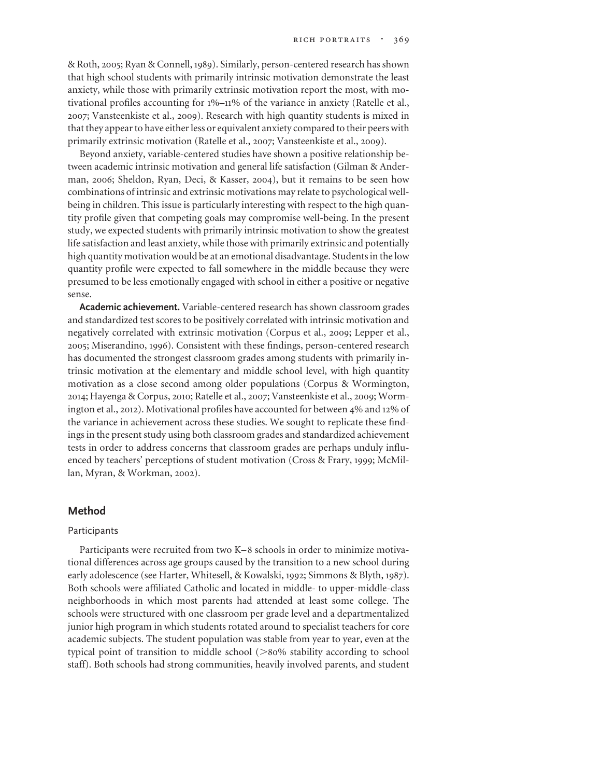& Roth, 2005; Ryan & Connell, 1989). Similarly, person-centered research has shown that high school students with primarily intrinsic motivation demonstrate the least anxiety, while those with primarily extrinsic motivation report the most, with motivational profiles accounting for 1%–11% of the variance in anxiety (Ratelle et al., 2007; Vansteenkiste et al., 2009). Research with high quantity students is mixed in that they appear to have either less or equivalent anxiety compared to their peers with primarily extrinsic motivation (Ratelle et al., 2007; Vansteenkiste et al., 2009).

Beyond anxiety, variable-centered studies have shown a positive relationship between academic intrinsic motivation and general life satisfaction (Gilman & Anderman, 2006; Sheldon, Ryan, Deci, & Kasser, 2004), but it remains to be seen how combinations of intrinsic and extrinsic motivations may relate to psychological wellbeing in children. This issue is particularly interesting with respect to the high quantity profile given that competing goals may compromise well-being. In the present study, we expected students with primarily intrinsic motivation to show the greatest life satisfaction and least anxiety, while those with primarily extrinsic and potentially high quantity motivation would be at an emotional disadvantage. Students in the low quantity profile were expected to fall somewhere in the middle because they were presumed to be less emotionally engaged with school in either a positive or negative sense.

**Academic achievement.** Variable-centered research has shown classroom grades and standardized test scores to be positively correlated with intrinsic motivation and negatively correlated with extrinsic motivation (Corpus et al., 2009; Lepper et al., 2005; Miserandino, 1996). Consistent with these findings, person-centered research has documented the strongest classroom grades among students with primarily intrinsic motivation at the elementary and middle school level, with high quantity motivation as a close second among older populations (Corpus & Wormington, 2014; Hayenga & Corpus, 2010; Ratelle et al., 2007; Vansteenkiste et al., 2009; Wormington et al., 2012). Motivational profiles have accounted for between 4% and 12% of the variance in achievement across these studies. We sought to replicate these findings in the present study using both classroom grades and standardized achievement tests in order to address concerns that classroom grades are perhaps unduly influenced by teachers' perceptions of student motivation (Cross & Frary, 1999; McMillan, Myran, & Workman, 2002).

# **Method**

#### Participants

Participants were recruited from two K–8 schools in order to minimize motivational differences across age groups caused by the transition to a new school during early adolescence (see Harter, Whitesell, & Kowalski, 1992; Simmons & Blyth, 1987). Both schools were affiliated Catholic and located in middle- to upper-middle-class neighborhoods in which most parents had attended at least some college. The schools were structured with one classroom per grade level and a departmentalized junior high program in which students rotated around to specialist teachers for core academic subjects. The student population was stable from year to year, even at the typical point of transition to middle school (>80% stability according to school staff). Both schools had strong communities, heavily involved parents, and student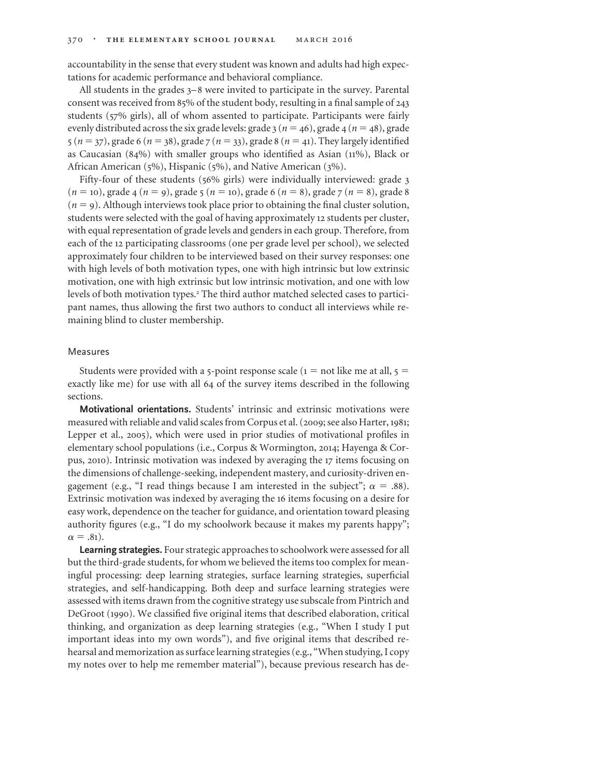accountability in the sense that every student was known and adults had high expectations for academic performance and behavioral compliance.

All students in the grades 3–8 were invited to participate in the survey. Parental consent was received from 85% of the student body, resulting in a final sample of 243 students (57% girls), all of whom assented to participate. Participants were fairly evenly distributed across the six grade levels: grade  $3(n = 46)$ , grade  $4(n = 48)$ , grade 5 ( $n = 37$ ), grade 6 ( $n = 38$ ), grade 7 ( $n = 33$ ), grade 8 ( $n = 41$ ). They largely identified as Caucasian (84%) with smaller groups who identified as Asian (11%), Black or African American (5%), Hispanic (5%), and Native American (3%).

Fifty-four of these students (56% girls) were individually interviewed: grade 3 (*n* 10), grade 4 (*n* 9), grade 5 (*n* 10), grade 6 (*n* 8), grade 7 (*n* 8), grade 8  $(n = 9)$ . Although interviews took place prior to obtaining the final cluster solution, students were selected with the goal of having approximately 12 students per cluster, with equal representation of grade levels and genders in each group. Therefore, from each of the 12 participating classrooms (one per grade level per school), we selected approximately four children to be interviewed based on their survey responses: one with high levels of both motivation types, one with high intrinsic but low extrinsic motivation, one with high extrinsic but low intrinsic motivation, and one with low levels of both motivation types.<sup>2</sup> The third author matched selected cases to participant names, thus allowing the first two authors to conduct all interviews while remaining blind to cluster membership.

#### Measures

Students were provided with a 5-point response scale ( $1 =$  not like me at all,  $5 =$ exactly like me) for use with all 64 of the survey items described in the following sections.

**Motivational orientations.** Students' intrinsic and extrinsic motivations were measured with reliable and valid scales from Corpus et al. (2009; see also Harter,1981; Lepper et al., 2005), which were used in prior studies of motivational profiles in elementary school populations (i.e., Corpus & Wormington, 2014; Hayenga & Corpus, 2010). Intrinsic motivation was indexed by averaging the 17 items focusing on the dimensions of challenge-seeking, independent mastery, and curiosity-driven engagement (e.g., "I read things because I am interested in the subject";  $\alpha = .88$ ). Extrinsic motivation was indexed by averaging the 16 items focusing on a desire for easy work, dependence on the teacher for guidance, and orientation toward pleasing authority figures (e.g., "I do my schoolwork because it makes my parents happy";  $\alpha = .81$ ).

**Learning strategies.** Four strategic approaches to schoolwork were assessed for all but the third-grade students, for whom we believed the items too complex for meaningful processing: deep learning strategies, surface learning strategies, superficial strategies, and self-handicapping. Both deep and surface learning strategies were assessed with items drawn from the cognitive strategy use subscale from Pintrich and DeGroot (1990). We classified five original items that described elaboration, critical thinking, and organization as deep learning strategies (e.g., "When I study I put important ideas into my own words"), and five original items that described rehearsal and memorization as surface learning strategies (e.g., "When studying, I copy my notes over to help me remember material"), because previous research has de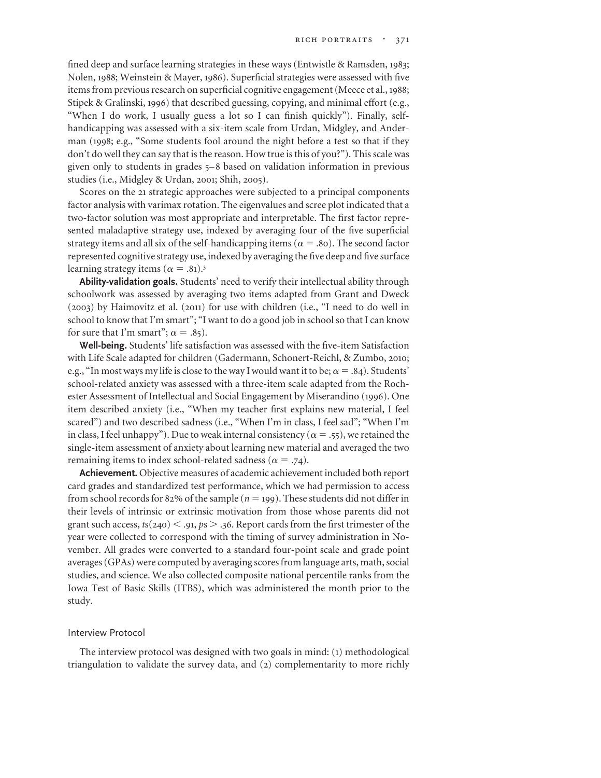fined deep and surface learning strategies in these ways (Entwistle & Ramsden, 1983; Nolen, 1988; Weinstein & Mayer, 1986). Superficial strategies were assessed with five items from previous research on superficial cognitive engagement (Meece et al.,1988; Stipek & Gralinski, 1996) that described guessing, copying, and minimal effort (e.g., "When I do work, I usually guess a lot so I can finish quickly"). Finally, selfhandicapping was assessed with a six-item scale from Urdan, Midgley, and Anderman (1998; e.g., "Some students fool around the night before a test so that if they don't do well they can say that is the reason. How true is this of you?"). This scale was given only to students in grades 5–8 based on validation information in previous studies (i.e., Midgley & Urdan, 2001; Shih, 2005).

Scores on the 21 strategic approaches were subjected to a principal components factor analysis with varimax rotation. The eigenvalues and scree plot indicated that a two-factor solution was most appropriate and interpretable. The first factor represented maladaptive strategy use, indexed by averaging four of the five superficial strategy items and all six of the self-handicapping items ( $\alpha = .8$ o). The second factor represented cognitive strategy use, indexed by averaging the five deep and five surface learning strategy items ( $\alpha = .81$ ).<sup>3</sup>

**Ability-validation goals.** Students' need to verify their intellectual ability through schoolwork was assessed by averaging two items adapted from Grant and Dweck (2003) by Haimovitz et al. (2011) for use with children (i.e., "I need to do well in school to know that I'm smart"; "I want to do a good job in school so that I can know for sure that I'm smart";  $\alpha = .85$ ).

**Well-being.** Students' life satisfaction was assessed with the five-item Satisfaction with Life Scale adapted for children (Gadermann, Schonert-Reichl, & Zumbo, 2010; e.g., "In most ways my life is close to the way I would want it to be;  $\alpha = .84$ ). Students' school-related anxiety was assessed with a three-item scale adapted from the Rochester Assessment of Intellectual and Social Engagement by Miserandino (1996). One item described anxiety (i.e., "When my teacher first explains new material, I feel scared") and two described sadness (i.e., "When I'm in class, I feel sad"; "When I'm in class, I feel unhappy"). Due to weak internal consistency ( $\alpha = .55$ ), we retained the single-item assessment of anxiety about learning new material and averaged the two remaining items to index school-related sadness ( $\alpha = .74$ ).

**Achievement.** Objective measures of academic achievement included both report card grades and standardized test performance, which we had permission to access from school records for 82% of the sample ( $n = 199$ ). These students did not differ in their levels of intrinsic or extrinsic motivation from those whose parents did not grant such access,  $t$ s $(240)$   $<$  .91,  $ps$   $>$  .36. Report cards from the first trimester of the year were collected to correspond with the timing of survey administration in November. All grades were converted to a standard four-point scale and grade point averages (GPAs) were computed by averaging scores from language arts, math, social studies, and science. We also collected composite national percentile ranks from the Iowa Test of Basic Skills (ITBS), which was administered the month prior to the study.

#### Interview Protocol

The interview protocol was designed with two goals in mind: (1) methodological triangulation to validate the survey data, and (2) complementarity to more richly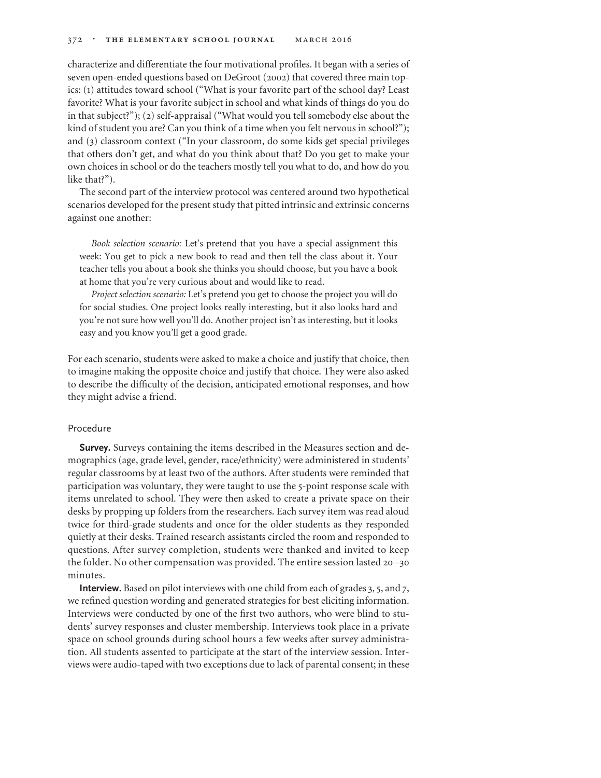#### $372$ **the elementary school journal** march 2016

characterize and differentiate the four motivational profiles. It began with a series of seven open-ended questions based on DeGroot (2002) that covered three main topics: (1) attitudes toward school ("What is your favorite part of the school day? Least favorite? What is your favorite subject in school and what kinds of things do you do in that subject?"); (2) self-appraisal ("What would you tell somebody else about the kind of student you are? Can you think of a time when you felt nervous in school?"); and (3) classroom context ("In your classroom, do some kids get special privileges that others don't get, and what do you think about that? Do you get to make your own choices in school or do the teachers mostly tell you what to do, and how do you like that?").

The second part of the interview protocol was centered around two hypothetical scenarios developed for the present study that pitted intrinsic and extrinsic concerns against one another:

*Book selection scenario:* Let's pretend that you have a special assignment this week: You get to pick a new book to read and then tell the class about it. Your teacher tells you about a book she thinks you should choose, but you have a book at home that you're very curious about and would like to read.

*Project selection scenario:* Let's pretend you get to choose the project you will do for social studies. One project looks really interesting, but it also looks hard and you're not sure how well you'll do. Another project isn't as interesting, but it looks easy and you know you'll get a good grade.

For each scenario, students were asked to make a choice and justify that choice, then to imagine making the opposite choice and justify that choice. They were also asked to describe the difficulty of the decision, anticipated emotional responses, and how they might advise a friend.

#### Procedure

**Survey.** Surveys containing the items described in the Measures section and demographics (age, grade level, gender, race/ethnicity) were administered in students' regular classrooms by at least two of the authors. After students were reminded that participation was voluntary, they were taught to use the 5-point response scale with items unrelated to school. They were then asked to create a private space on their desks by propping up folders from the researchers. Each survey item was read aloud twice for third-grade students and once for the older students as they responded quietly at their desks. Trained research assistants circled the room and responded to questions. After survey completion, students were thanked and invited to keep the folder. No other compensation was provided. The entire session lasted 20 –30 minutes.

**Interview.** Based on pilot interviews with one child from each of grades 3, 5, and 7, we refined question wording and generated strategies for best eliciting information. Interviews were conducted by one of the first two authors, who were blind to students' survey responses and cluster membership. Interviews took place in a private space on school grounds during school hours a few weeks after survey administration. All students assented to participate at the start of the interview session. Interviews were audio-taped with two exceptions due to lack of parental consent; in these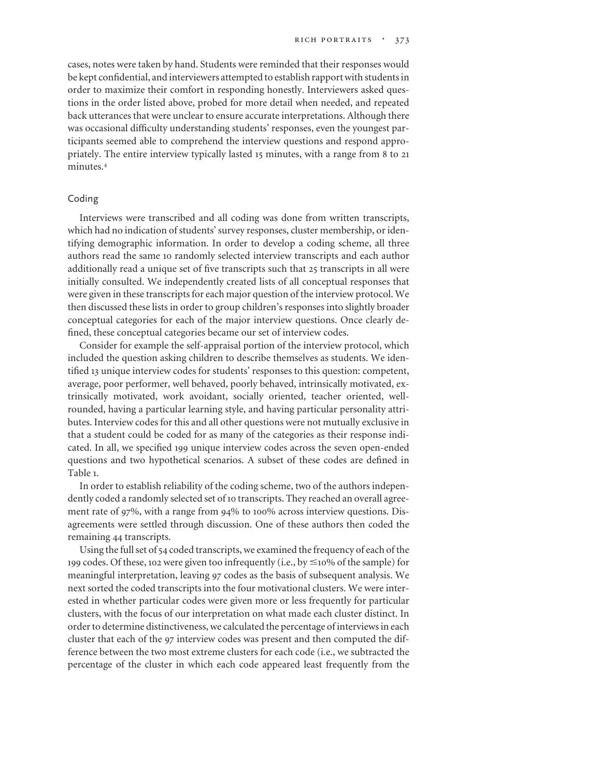cases, notes were taken by hand. Students were reminded that their responses would be kept confidential, and interviewers attempted to establish rapport with students in order to maximize their comfort in responding honestly. Interviewers asked questions in the order listed above, probed for more detail when needed, and repeated back utterances that were unclear to ensure accurate interpretations. Although there was occasional difficulty understanding students' responses, even the youngest participants seemed able to comprehend the interview questions and respond appropriately. The entire interview typically lasted 15 minutes, with a range from 8 to 21 minutes.<sup>4</sup>

#### Coding

Interviews were transcribed and all coding was done from written transcripts, which had no indication of students' survey responses, cluster membership, or identifying demographic information. In order to develop a coding scheme, all three authors read the same 10 randomly selected interview transcripts and each author additionally read a unique set of five transcripts such that 25 transcripts in all were initially consulted. We independently created lists of all conceptual responses that were given in these transcripts for each major question of the interview protocol. We then discussed these lists in order to group children's responses into slightly broader conceptual categories for each of the major interview questions. Once clearly defined, these conceptual categories became our set of interview codes.

Consider for example the self-appraisal portion of the interview protocol, which included the question asking children to describe themselves as students. We identified 13 unique interview codes for students' responses to this question: competent, average, poor performer, well behaved, poorly behaved, intrinsically motivated, extrinsically motivated, work avoidant, socially oriented, teacher oriented, wellrounded, having a particular learning style, and having particular personality attributes. Interview codes for this and all other questions were not mutually exclusive in that a student could be coded for as many of the categories as their response indicated. In all, we specified 199 unique interview codes across the seven open-ended questions and two hypothetical scenarios. A subset of these codes are defined in Table 1.

In order to establish reliability of the coding scheme, two of the authors independently coded a randomly selected set of 10 transcripts. They reached an overall agreement rate of 97%, with a range from 94% to 100% across interview questions. Disagreements were settled through discussion. One of these authors then coded the remaining 44 transcripts.

Using the full set of 54 coded transcripts, we examined the frequency of each of the 199 codes. Of these, 102 were given too infrequently (i.e., by  $\leq$ 10% of the sample) for meaningful interpretation, leaving 97 codes as the basis of subsequent analysis. We next sorted the coded transcripts into the four motivational clusters. We were interested in whether particular codes were given more or less frequently for particular clusters, with the focus of our interpretation on what made each cluster distinct. In order to determine distinctiveness, we calculated the percentage of interviews in each cluster that each of the 97 interview codes was present and then computed the difference between the two most extreme clusters for each code (i.e., we subtracted the percentage of the cluster in which each code appeared least frequently from the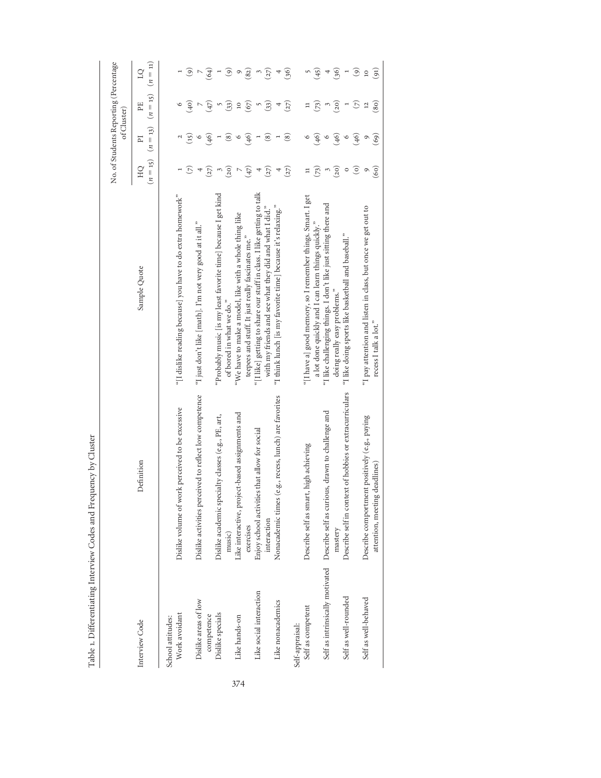|                                      |                                                                                  |                                                                                                                                 |                            |                                         | No. of Students Reporting (Percentage<br>of Cluster)        |                                              |
|--------------------------------------|----------------------------------------------------------------------------------|---------------------------------------------------------------------------------------------------------------------------------|----------------------------|-----------------------------------------|-------------------------------------------------------------|----------------------------------------------|
| Interview Code                       | Definition                                                                       | Sample Quote                                                                                                                    | $(n = 15)$<br><b>QH</b>    | $(n = 13)$ $(n = 15)$<br>$\overline{P}$ | PE                                                          | $(n=11)$<br>$\alpha$                         |
| Work avoidant<br>School attitudes:   | Dislike volume of work perceived to be excessive                                 | "[I dislike reading because] you have to do extra homework"                                                                     |                            |                                         | ৩                                                           |                                              |
| Dislike areas of low                 | Dislike activities perceived to reflect low competence                           | "I just don't like [math]. I'm not very good at it all."                                                                        | T                          | $\mathfrak{S}$<br>$\widetilde{6}$       | $\widehat{\Theta}$                                          | $\odot$<br>(64)                              |
| Dislike specials<br>competence       | Dislike academic specialty classes (e.g., PE, art,<br>music)                     | "Probably music [is my least favorite time] because I get kind<br>of bored in what we do."                                      | (27)<br>(20)               | $\circledast$                           | $\left(\overline{f}\right)$<br>$\widehat{33}$<br>$\sqrt{ }$ | $\odot$                                      |
| Like hands-on                        | Like interactive, project-based assignments and<br>exercises                     | "We have to make a model, like with a whole thing like<br>teepees and stuff. It just really fascinates me."                     | $\left(\frac{1}{2}\right)$ | (46)<br>$\circ$                         | (67)<br>$\overline{10}$                                     | (82)<br>$\circ$                              |
| Like social interaction              | Enjoy school activities that allow for social<br>interaction                     | "[I like] getting to share our stuff in class. I like getting to talk<br>with my friends and see what they did and what I did." | (27)<br>4                  | $\circledast$                           | $\left( 33\right)$<br>$\sqrt{2}$                            | (27)<br>$\tilde{5}$                          |
| Like nonacademics                    | Nonacademic times (e.g., recess, lunch) are favorites                            | "I think lunch [is my favorite time] because it's relaxing."                                                                    | (27)                       | $\circledast$<br>Ξ                      | (27)                                                        | (36)<br>4                                    |
| Self as competent<br>Self-appraisal: | Describe self as smart, high achieving                                           | "[I have a] good memory, so I remember things. Smart. I get<br>a lot done quickly and I can learn things quickly."              | $\Xi$                      | $\circ$                                 | $\widehat{(\mathcal{E})}$<br>$\Xi$                          | (45)<br>$\sqrt{2}$                           |
|                                      | Self as intrinsically motivated Describe self as curious, drawn to challenge and | "I like challenging things. I don't like just sitting there and                                                                 | (5)                        | $\widetilde{\Theta}$<br>$\circ$         | $\tilde{5}$                                                 | $\overline{a}$                               |
| Self as well-rounded                 | Describe self in context of hobbies or extracurriculars<br>mastery               | "I like doing sports like basketball and baseball."<br>doing really easy problems."                                             | (20)<br>$\circ$            | $\widetilde{\Theta}$<br>$\circ$         | (20)                                                        | (36)<br>$\overline{a}$                       |
| Self as well-behaved                 | Describe comportment positively (e.g., paying<br>attention, meeting deadlines)   | "I pay attention and listen in class, but once we get out to<br>recess I talk a lot."                                           | (60)<br>$\odot$<br>O       | (69)<br>$\widehat{\Theta}$<br>Q         | (80)<br>$\mathcal{L}$<br>12                                 | $\odot$<br>$\binom{91}{ }$<br>$\overline{a}$ |
|                                      |                                                                                  |                                                                                                                                 |                            |                                         |                                                             |                                              |

Table 1. Differentiating Interview Codes and Frequency by Cluster Table 1. Differentiating Interview Codes and Frequency by Cluster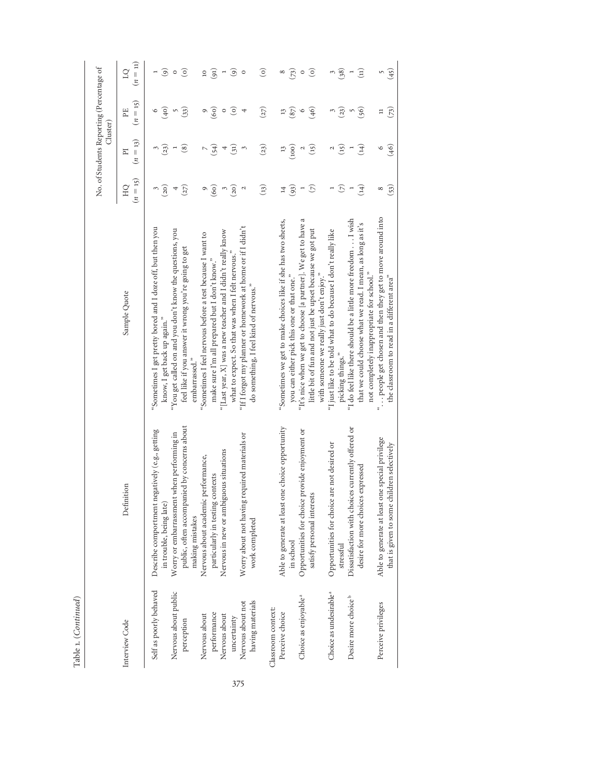| Lable 1. (Continuea)                  |                                                                                          |                                                                                                                  |                         | No. of Students Reporting (Percentage of<br>Cluster) |                    |                                    |
|---------------------------------------|------------------------------------------------------------------------------------------|------------------------------------------------------------------------------------------------------------------|-------------------------|------------------------------------------------------|--------------------|------------------------------------|
| Interview Code                        | Definition                                                                               | Sample Quote                                                                                                     | $(n = 15)$<br><b>CH</b> | $(n = 13)$<br>FI                                     | $(n = 15)$<br>ΡË   | $u = 1$<br>$\beta$                 |
| Self as poorly behaved                | Describe comportment negatively (e.g., getting<br>in trouble, being late)                | 'Sometimes I get pretty bored and I doze off, but then you<br>know, I get back up again."                        | (20)<br>3               | $\begin{pmatrix} 3 \\ 23 \end{pmatrix}$              | (40)<br>৩          | $\odot$<br>$\overline{a}$          |
| Nervous about public<br>perception    | public, often accompanied by concerns about<br>Worry or embarrassment when performing in | "You get called on and you don't know the questions, you<br>feel like if you answer it wrong you're going to get | (27)<br>$\overline{a}$  | $\circled{s}$<br>Ξ                                   | (33)<br>$\sqrt{2}$ | $\odot$<br>$\circ$                 |
|                                       | making mistakes                                                                          | embarrassed."                                                                                                    |                         |                                                      |                    |                                    |
| performance<br>Nervous about          | Nervous about academic performance,<br>particularly in testing contexts                  | "Sometimes I feel nervous before a test because I want to<br>make sure I'm all prepared but I don't know."       | (60)<br>٩               | (54)<br>N                                            | (60)<br>٥          | $\overline{a}$<br>(91)             |
| Nervous about                         | Nervous in new or ambiguous situations                                                   | "[Last year, X] was a new teacher and I didn't really know                                                       | $\tilde{\phantom{0}}$   | $\overline{a}$                                       | $\circ$            | $\overline{a}$                     |
| uncertainty                           |                                                                                          | what to expect. So that was when I felt nervous."                                                                | (20)                    | (31)                                                 | $\odot$            | $\odot$                            |
| having materials<br>Nervous about not | Worry about not having required materials or<br>work completed                           | "If I forgot my planner or homework at home or if I didn't<br>do something, I feel kind of nervous."             | $\sim$                  | $\tilde{5}$                                          | 4                  | $\circ$                            |
| Classroom context:                    |                                                                                          |                                                                                                                  | (13)                    | $(23)$                                               | (27)               | $\odot$                            |
| Perceive choice                       | Able to generate at least one choice opportunity                                         | "Sometimes we get to make choices like if she has two sheets,                                                    | $\overline{14}$         | 13                                                   | $\mathfrak{L}$     | $\infty$                           |
|                                       | in school                                                                                | you can either pick this one or that one."                                                                       | (93)                    | (100)                                                | (87)               | $(73)$                             |
| Choice as enjoyable <sup>a</sup>      | Opportunities for choice provide enjoyment or                                            | a<br>"It's nice when we get to choose [a partner]. We get to have                                                | $\overline{a}$          | $\sim$                                               | $\circ$            | $\circ$                            |
|                                       | satisfy personal interests                                                               | little bit of fun and not just be upset because we got put<br>with someone we really just don't enjoy."          | $\circlearrowright$     | (15)                                                 | (46)               | $\odot$                            |
| Choice as undesirable <sup>a</sup>    | Opportunities for choice are not desired or                                              | "I just like to be told what to do because I don't really like                                                   | $\overline{a}$          | $\mathfrak{a}$                                       | $\tilde{5}$        | $\tilde{5}$                        |
|                                       | stressful                                                                                | picking things."                                                                                                 | $\circlearrowright$     | (15)                                                 | (23)               | (38)                               |
| Desire more choice <sup>b</sup>       | Dissatisfaction with choices currently offered or                                        | "I do feel like there should be a little more freedom I wish                                                     | $\overline{a}$          | $\overline{a}$                                       | $\sqrt{2}$         | $\overline{a}$                     |
|                                       | desire for more choices expressed                                                        | that we could choose what we read. I mean, as long as it's                                                       | $\mathcal{F}$           | $\left(14\right)$                                    | (56)               | $\begin{pmatrix} 11 \end{pmatrix}$ |
|                                       |                                                                                          | not completely inappropriate for school."<br>¥                                                                   |                         |                                                      |                    |                                    |
| Perceive privileges                   | Able to generate at least one special privilege                                          | $\therefore$ people get chosen and then they get to move around into                                             | $\infty$                | $\circ$                                              | $\Xi$              | $\sqrt{2}$                         |
|                                       | that is given to some children selectively                                               | the classroom to read in a different area"                                                                       | (53)                    | (46)                                                 | $(73)$             | (45)                               |

 $9\overline{)}$   $\overline{)}$   $\overline{)}$   $\overline{)}$   $\overline{)}$ 

 $\begin{matrix} 0 & 0 \\ 0 & 0 \end{matrix}$ 

 $\odot$ 

 $LQ$ <br> $(n = n)$ 

 $\begin{array}{c} \n\hline\n\end{array} \n\begin{array}{c} \n\hline\n\end{array} \n\begin{array}{c} \n\hline\n\end{array} \n\end{array}$ 

Percentage of

Table 1 (Continued) Table 1. (*Continued*)  $\frac{5}{45}$ 

 $\binom{3}{3}$  -  $\binom{1}{1}$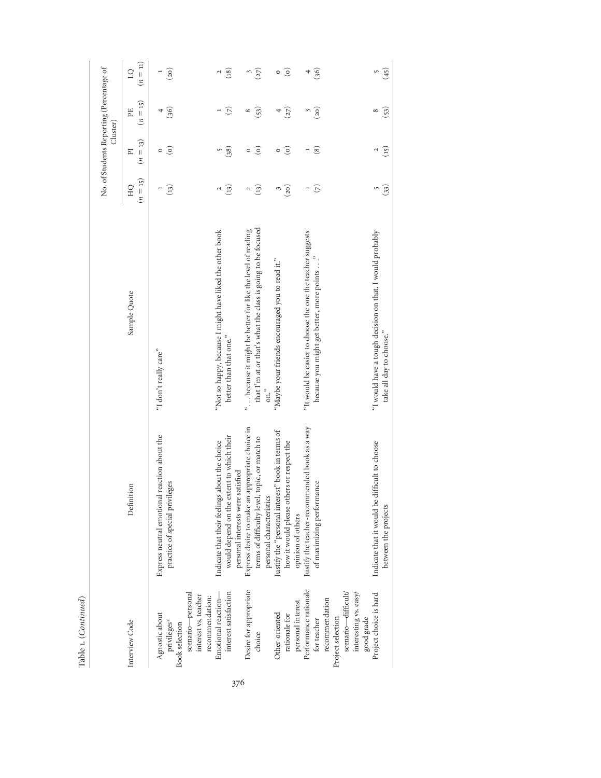|                                                                                                                             |                                                                                                                                 |                                                                                                                                                        |                               | No. of Students Reporting (Percentage of<br>Cluster) |                        |                       |
|-----------------------------------------------------------------------------------------------------------------------------|---------------------------------------------------------------------------------------------------------------------------------|--------------------------------------------------------------------------------------------------------------------------------------------------------|-------------------------------|------------------------------------------------------|------------------------|-----------------------|
| Interview Code                                                                                                              | Definition                                                                                                                      | Sample Quote                                                                                                                                           | $(n = 15)$<br>ЯQ              | $(n = 13)$<br>$\Xi$                                  | $(n = 15)$<br>PE       | $(n = n)$<br>$\Omega$ |
| scenario-personal<br>interest vs. teacher<br>recommendation:<br>Agnostic about<br>privileges <sup>c</sup><br>Book selection | Express neutral emotional reaction about the<br>practice of special privileges                                                  | "I don't really care"                                                                                                                                  | $\left( \mathrm{13}\right)$   | $\odot$<br>$\circ$                                   | (36)<br>4              | (20)                  |
| interest satisfaction<br>Emotional reaction-                                                                                | would depend on the extent to which their<br>Indicate that their feelings about the choice<br>personal interests were satisfied | "Not so happy, because I might have liked the other book<br>better than that one."                                                                     | $\binom{13}{1}$<br>N          | (38)                                                 | T                      | (18)<br>N             |
| Desire for appropriate<br>choice                                                                                            | Express desire to make an appropriate choice in<br>terms of difficulty level, topic, or match to<br>personal characteristics    | that I'm at or that's what the class is going to be focused<br>" because it might be better for like the level of reading<br>$\overline{\text{on.}}^n$ | $\widetilde{\mathbb{E}}$<br>U | $\widehat{\circ}$<br>$\circ$                         | (53)<br>$^{\circ}$     | (27)                  |
| personal interest<br>Other-oriented<br>rationale for                                                                        | Justify the "personal interest" book in terms of<br>how it would please others or respect the<br>opinion of others              | "Maybe your friends encouraged you to read it."                                                                                                        | (20)                          | $\odot$<br>$\circ$                                   | $\left(27\right)$<br>4 | $\odot$<br>$\circ$    |
| Performance rationale<br>recommendation<br>for teacher                                                                      | Justify the teacher-recommended book as a way<br>of maximizing performance                                                      | "It would be easier to choose the one the teacher suggests<br>because you might get better, more points.                                               | $\mathcal{L}$                 | $\circled{s}$<br>$\overline{a}$                      | (20)<br>$\tilde{5}$    | (36)                  |
| scenario-difficult/<br>Project choice is hard<br>interesting vs. easy/<br>Project selection<br>good grade                   | Indicate that it would be difficult to choose<br>between the projects                                                           | "I would have a tough decision on that. I would probably<br>take all day to choose."                                                                   | (33)                          | (15)                                                 | (53)<br>∞              | (45)                  |
|                                                                                                                             |                                                                                                                                 |                                                                                                                                                        |                               |                                                      |                        |                       |

Table 1. (Continued) Table 1. (*Continued*)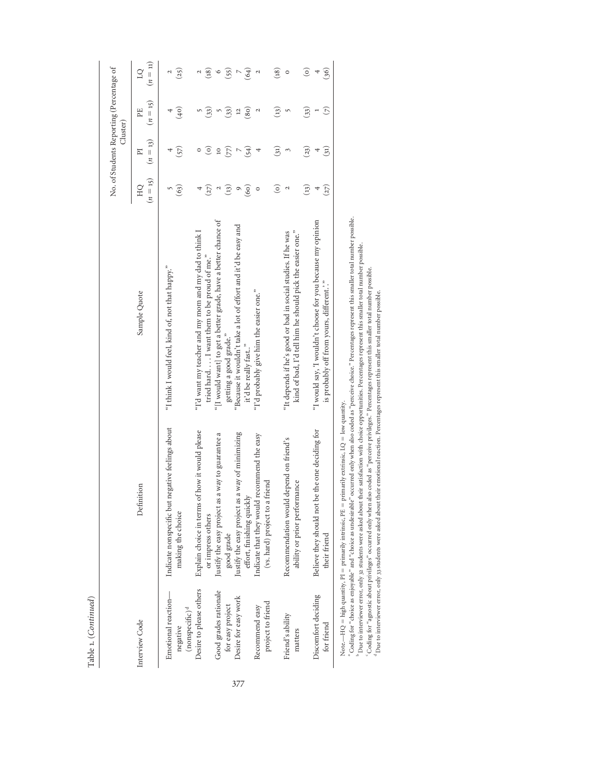|                                                               |                                                                                                        |                                                                                                                           |                           | Cluster)                     | No. of Students Reporting (Percentage of |                       |
|---------------------------------------------------------------|--------------------------------------------------------------------------------------------------------|---------------------------------------------------------------------------------------------------------------------------|---------------------------|------------------------------|------------------------------------------|-----------------------|
| Interview Code                                                | Definition                                                                                             | Sample Quote                                                                                                              | $(n = 15)$<br>$_{\rm H0}$ | $(n = 13)$<br>$\overline{p}$ | $(n = 15)$<br>PE                         | $(n = n)$<br>$\Omega$ |
| Emotional reaction-<br>(nonspecific) <sup>d</sup><br>negative | Indicate nonspecific but negative feelings about<br>making the choice                                  | "I think I would feel, kind of, not that happy."                                                                          | (63)                      | 57)                          | $\left(40\right)$                        | $(25)$                |
| Desire to please others                                       | Explain choice in terms of how it would please<br>or impress others                                    | "I'd want my teacher and my mom and my dad to think I<br>tried hard. I want them to be proud of me."                      | (27)                      | $\widehat{\circ}$<br>$\circ$ | (33)                                     | (18)                  |
| Good grades rationale                                         | a way to guarantee a<br>Justify the easy project as                                                    | "[I would want] to get a better grade, have a better chance of                                                            | $\mathbf{c}$              | $\overline{a}$               | 5                                        | $\circ$               |
| for easy project                                              | good grade                                                                                             | getting a good grade."                                                                                                    | $\widehat{\Xi}$           | $\widehat{\Sigma}$           | $(33)$                                   | (55)                  |
| Desire for easy work                                          | a way of minimizing<br>Justify the easy project as                                                     | "Because it wouldn't take a lot of effort and it'd be easy and                                                            | ٥                         |                              | 12                                       |                       |
|                                                               | effort, finishing quickly                                                                              | it'd be really fast"                                                                                                      | (60)                      | (54)                         | (80)                                     | (64)                  |
| project to friend<br>Recommend easy                           | Indicate that they would recommend the easy<br>(vs. hard) project to a friend                          | "I'd probably give him the easier one."                                                                                   | $\circ$                   | 4                            | $\mathbf{\hat{c}}$                       |                       |
|                                                               |                                                                                                        |                                                                                                                           | $\widehat{\circ}$         | $\rm _{(31)}$                | $\left( \overline{\mathbf{E}}\right)$    | (18)                  |
| Friend's ability<br>matters                                   | Recommendation would depend on friend's<br>ability or prior performance                                | kind of bad, I'd tell him he should pick the easier one."<br>"It depends if he's good or bad in social studies. If he was | $\mathcal{L}$             |                              | 5                                        | $\circ$               |
|                                                               |                                                                                                        |                                                                                                                           | $\left( 13\right)$        | (23)                         | (33)                                     | $\widehat{\circ}$     |
| Discomfort deciding                                           | Believe they should not be the one deciding for                                                        | "I would say, 'I wouldn't choose for you because my opinion                                                               | 4                         |                              |                                          | 4                     |
| for friend                                                    | their friend                                                                                           | is probably off from yours, different.'."                                                                                 | (27)                      | $\binom{31}{ }$              | $\widehat{C}$                            | (36)                  |
|                                                               | Note.—HQ = high quantity, $PI =$ primarily intrinsic, $PE =$ primarily extrinsic, $LQ =$ low quantity. |                                                                                                                           |                           |                              |                                          |                       |

377

aCoding for "choice as enjoyable" and "choice as undesirable" occurred only when also coded as "perceive choice." Percentages represent this smaller total number possible. b u t

Due to interviewer error, only 32 students were asked about their satisfaction with choice opportunities. Percentages represent this smaller total number possible.

cCoding for "agnostic about privileges" occurred only when also coded as "perceive privileges." Percentages represent this smaller total number possible.

Due to interviewer error, only 33 students were asked about their emotional reaction. Percentages represent this smaller total number possible.

Table 1. (Continued) Table 1. (*Continued*)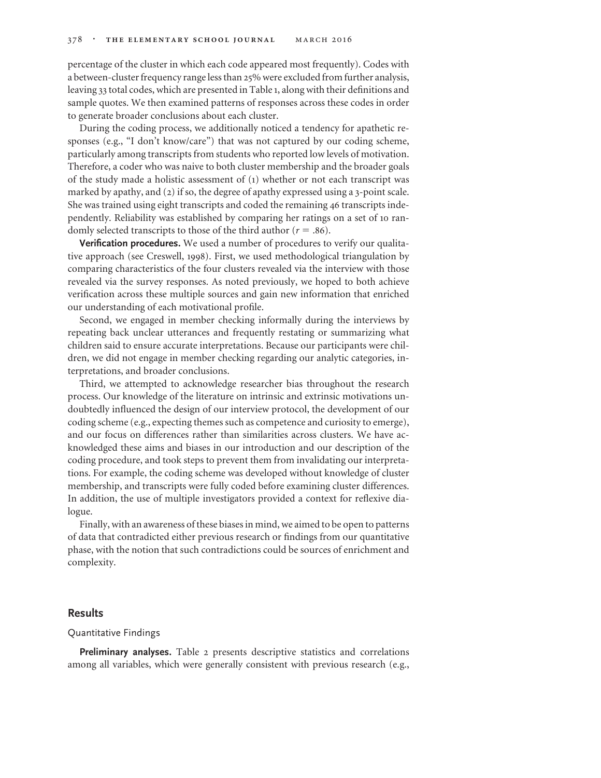percentage of the cluster in which each code appeared most frequently). Codes with a between-cluster frequency range less than 25% were excluded from further analysis, leaving 33total codes, which are presented in Table 1, along with their definitions and sample quotes. We then examined patterns of responses across these codes in order to generate broader conclusions about each cluster.

During the coding process, we additionally noticed a tendency for apathetic responses (e.g., "I don't know/care") that was not captured by our coding scheme, particularly among transcripts from students who reported low levels of motivation. Therefore, a coder who was naive to both cluster membership and the broader goals of the study made a holistic assessment of (1) whether or not each transcript was marked by apathy, and (2) if so, the degree of apathy expressed using a 3-point scale. She was trained using eight transcripts and coded the remaining 46 transcripts independently. Reliability was established by comparing her ratings on a set of 10 randomly selected transcripts to those of the third author ( $r = .86$ ).

**Verification procedures.** We used a number of procedures to verify our qualitative approach (see Creswell, 1998). First, we used methodological triangulation by comparing characteristics of the four clusters revealed via the interview with those revealed via the survey responses. As noted previously, we hoped to both achieve verification across these multiple sources and gain new information that enriched our understanding of each motivational profile.

Second, we engaged in member checking informally during the interviews by repeating back unclear utterances and frequently restating or summarizing what children said to ensure accurate interpretations. Because our participants were children, we did not engage in member checking regarding our analytic categories, interpretations, and broader conclusions.

Third, we attempted to acknowledge researcher bias throughout the research process. Our knowledge of the literature on intrinsic and extrinsic motivations undoubtedly influenced the design of our interview protocol, the development of our coding scheme (e.g., expecting themes such as competence and curiosity to emerge), and our focus on differences rather than similarities across clusters. We have acknowledged these aims and biases in our introduction and our description of the coding procedure, and took steps to prevent them from invalidating our interpretations. For example, the coding scheme was developed without knowledge of cluster membership, and transcripts were fully coded before examining cluster differences. In addition, the use of multiple investigators provided a context for reflexive dialogue.

Finally, with an awareness of these biases in mind, we aimed to be open to patterns of data that contradicted either previous research or findings from our quantitative phase, with the notion that such contradictions could be sources of enrichment and complexity.

## **Results**

#### Quantitative Findings

**Preliminary analyses.** Table 2 presents descriptive statistics and correlations among all variables, which were generally consistent with previous research (e.g.,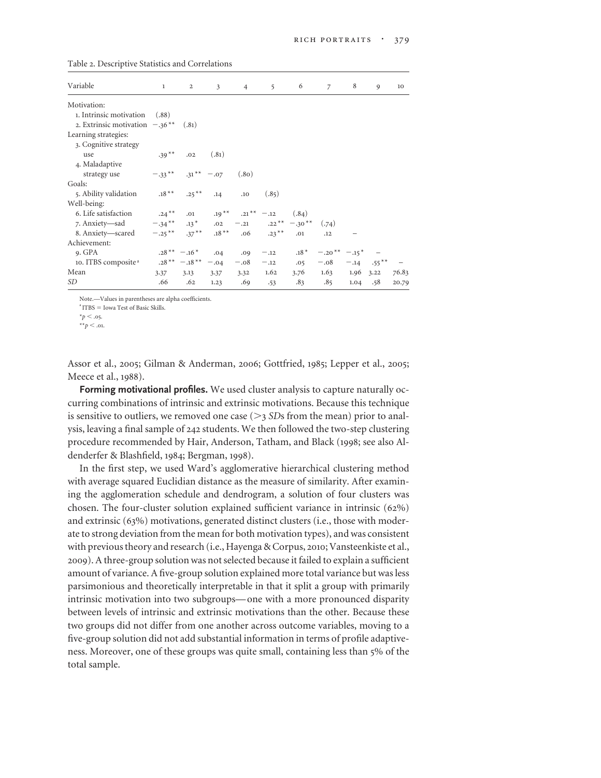| Variable                                | $\mathbf{1}$ | $\overline{2}$              | 3                                              | $\overline{4}$ | $5^{\circ}$                                       | $6\quad$ | $\overline{7}$                               | 8          | 9 | 10    |
|-----------------------------------------|--------------|-----------------------------|------------------------------------------------|----------------|---------------------------------------------------|----------|----------------------------------------------|------------|---|-------|
| Motivation:                             |              |                             |                                                |                |                                                   |          |                                              |            |   |       |
| 1. Intrinsic motivation                 | (.88)        |                             |                                                |                |                                                   |          |                                              |            |   |       |
| 2. Extrinsic motivation $-.36***$ (.81) |              |                             |                                                |                |                                                   |          |                                              |            |   |       |
| Learning strategies:                    |              |                             |                                                |                |                                                   |          |                                              |            |   |       |
| 3. Cognitive strategy                   |              |                             |                                                |                |                                                   |          |                                              |            |   |       |
| use                                     | $.39**$      | .02                         | (.81)                                          |                |                                                   |          |                                              |            |   |       |
| 4. Maladaptive                          |              |                             |                                                |                |                                                   |          |                                              |            |   |       |
| strategy use                            | $-.33**$     | $.31***$ -.07               |                                                | (.80)          |                                                   |          |                                              |            |   |       |
| Goals:                                  |              |                             |                                                |                |                                                   |          |                                              |            |   |       |
| 5. Ability validation                   |              | $.18***$ $.25***$           | .14                                            | .10            | (.85)                                             |          |                                              |            |   |       |
| Well-being:                             |              |                             |                                                |                |                                                   |          |                                              |            |   |       |
| 6. Life satisfaction                    | $.24***$     |                             | .01 .19 <sup>**</sup> .21 <sup>**</sup> $-.12$ |                |                                                   | (.84)    |                                              |            |   |       |
| 7. Anxiety—sad $-34**$ .13 <sup>*</sup> |              |                             |                                                |                | $.02 \t - .21 \t .22^{**} \t - .30^{**} \t (.74)$ |          |                                              |            |   |       |
| 8. Anxiety—scared $-.25***$ $.37***$    |              |                             |                                                |                | $.18***$ $.06$ $.23***$ $.01$                     |          | .12                                          |            |   |       |
| Achievement:                            |              |                             |                                                |                |                                                   |          |                                              |            |   |       |
| 9. GPA                                  |              | $.28*** -.16*$              | .04                                            | .09            | $-.12$                                            |          | $.18^*$ -.20 <sup>**</sup> -.15 <sup>*</sup> |            |   |       |
| 10. ITBS composite <sup>a</sup>         |              | $.28***$ - $.18***$ - $.04$ |                                                | $-.08$         | $-.12$                                            | $.05 -$  | $-.08 - .14 .55**$                           |            |   |       |
| Mean                                    | 3.37         | 3.13                        | 3.37                                           | 3.32           | 1.62                                              |          | 3.76 1.63 1.96 3.22                          |            |   | 76.83 |
| <i>SD</i>                               | .66          | .62                         | 1.23                                           | .69            | .53                                               | .83      | .85                                          | $1.04$ .58 |   | 20.79 |

#### Table 2. Descriptive Statistics and Correlations

Note.—Values in parentheses are alpha coefficients.

 $\text{I}^{\text{a}}$  ITBS = Iowa Test of Basic Skills.

 $*$ *\*p* < .01.

Assor et al., 2005; Gilman & Anderman, 2006; Gottfried, 1985; Lepper et al., 2005; Meece et al., 1988).

**Forming motivational profiles.** We used cluster analysis to capture naturally occurring combinations of intrinsic and extrinsic motivations. Because this technique is sensitive to outliers, we removed one case ( $>$ 3 *SD*s from the mean) prior to analysis, leaving a final sample of 242 students. We then followed the two-step clustering procedure recommended by Hair, Anderson, Tatham, and Black (1998; see also Aldenderfer & Blashfield, 1984; Bergman, 1998).

In the first step, we used Ward's agglomerative hierarchical clustering method with average squared Euclidian distance as the measure of similarity. After examining the agglomeration schedule and dendrogram, a solution of four clusters was chosen. The four-cluster solution explained sufficient variance in intrinsic (62%) and extrinsic (63%) motivations, generated distinct clusters (i.e., those with moderate to strong deviation from the mean for both motivation types), and was consistent with previous theory and research (i.e., Hayenga & Corpus, 2010; Vansteenkiste et al., 2009). A three-group solution was not selected because it failed to explain a sufficient amount of variance. A five-group solution explained more total variance but was less parsimonious and theoretically interpretable in that it split a group with primarily intrinsic motivation into two subgroups— one with a more pronounced disparity between levels of intrinsic and extrinsic motivations than the other. Because these two groups did not differ from one another across outcome variables, moving to a five-group solution did not add substantial information in terms of profile adaptiveness. Moreover, one of these groups was quite small, containing less than 5% of the total sample.

 $*_{p}$  < .05.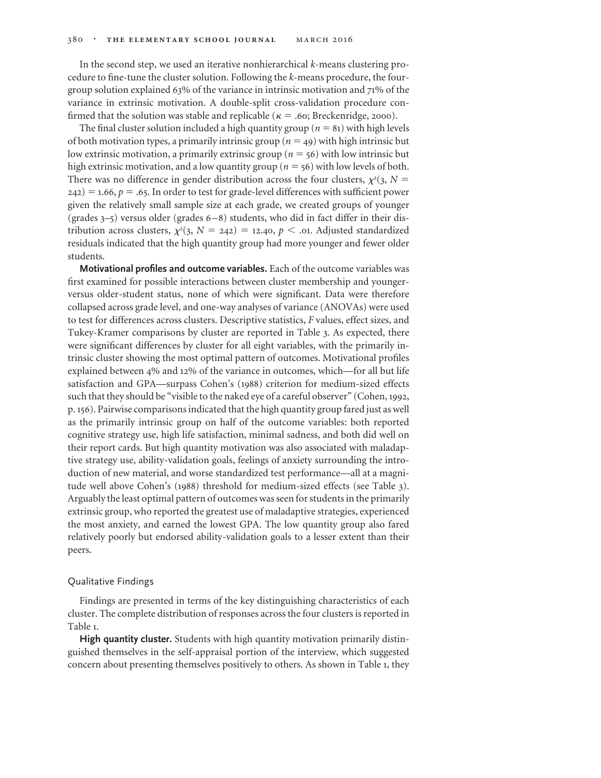In the second step, we used an iterative nonhierarchical *k*-means clustering procedure to fine-tune the cluster solution. Following the *k*-means procedure, the fourgroup solution explained 63% of the variance in intrinsic motivation and 71% of the variance in extrinsic motivation. A double-split cross-validation procedure confirmed that the solution was stable and replicable ( $\kappa = .60$ ; Breckenridge, 2000).

The final cluster solution included a high quantity group ( $n = 81$ ) with high levels of both motivation types, a primarily intrinsic group ( $n = 49$ ) with high intrinsic but low extrinsic motivation, a primarily extrinsic group ( $n = 56$ ) with low intrinsic but high extrinsic motivation, and a low quantity group ( $n = 56$ ) with low levels of both. There was no difference in gender distribution across the four clusters,  $\chi^2(3, N =$  $242$ ) = 1.66,  $p = 0.65$ . In order to test for grade-level differences with sufficient power given the relatively small sample size at each grade, we created groups of younger (grades  $3-5$ ) versus older (grades  $6-8$ ) students, who did in fact differ in their distribution across clusters,  $\chi^2(3, N = 242) = 12.40, p < .01$ . Adjusted standardized residuals indicated that the high quantity group had more younger and fewer older students.

**Motivational profiles and outcome variables.** Each of the outcome variables was first examined for possible interactions between cluster membership and youngerversus older-student status, none of which were significant. Data were therefore collapsed across grade level, and one-way analyses of variance (ANOVAs) were used to test for differences across clusters. Descriptive statistics, *F* values, effect sizes, and Tukey-Kramer comparisons by cluster are reported in Table 3. As expected, there were significant differences by cluster for all eight variables, with the primarily intrinsic cluster showing the most optimal pattern of outcomes. Motivational profiles explained between 4% and 12% of the variance in outcomes, which—for all but life satisfaction and GPA—surpass Cohen's (1988) criterion for medium-sized effects such that they should be "visible to the naked eye of a careful observer" (Cohen, 1992, p.156). Pairwise comparisons indicated that the high quantity group fared just as well as the primarily intrinsic group on half of the outcome variables: both reported cognitive strategy use, high life satisfaction, minimal sadness, and both did well on their report cards. But high quantity motivation was also associated with maladaptive strategy use, ability-validation goals, feelings of anxiety surrounding the introduction of new material, and worse standardized test performance—all at a magnitude well above Cohen's (1988) threshold for medium-sized effects (see Table 3). Arguably the least optimal pattern of outcomes was seen for students in the primarily extrinsic group, who reported the greatest use of maladaptive strategies, experienced the most anxiety, and earned the lowest GPA. The low quantity group also fared relatively poorly but endorsed ability-validation goals to a lesser extent than their peers.

#### Qualitative Findings

Findings are presented in terms of the key distinguishing characteristics of each cluster. The complete distribution of responses across the four clusters is reported in Table 1.

**High quantity cluster.** Students with high quantity motivation primarily distinguished themselves in the self-appraisal portion of the interview, which suggested concern about presenting themselves positively to others. As shown in Table 1, they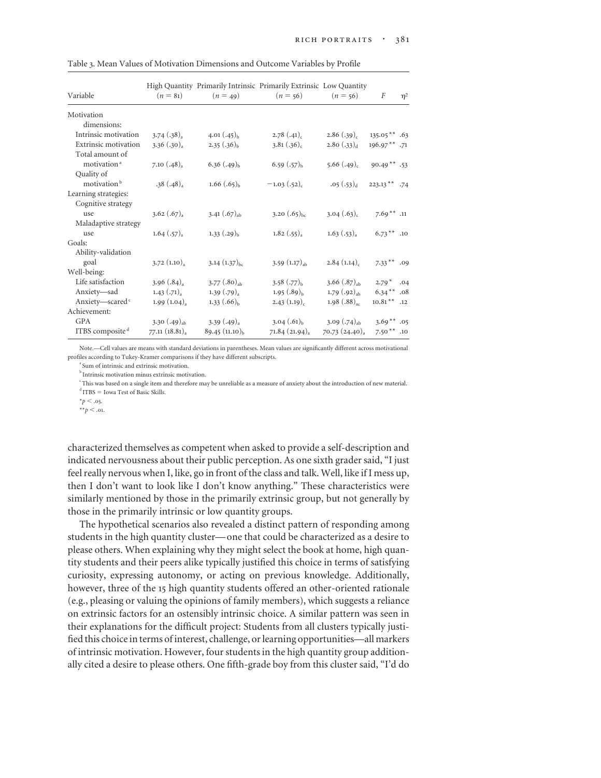|                                                |                        |                       | High Quantity Primarily Intrinsic Primarily Extrinsic Low Quantity |                           |                         |          |
|------------------------------------------------|------------------------|-----------------------|--------------------------------------------------------------------|---------------------------|-------------------------|----------|
| Variable                                       | $(n = 81)$             | $(n = 49)$            | $(n = 56)$                                                         | $(n = 56)$                | F                       | $\eta^2$ |
| Motivation                                     |                        |                       |                                                                    |                           |                         |          |
| dimensions:                                    |                        |                       |                                                                    |                           |                         |          |
| Intrinsic motivation                           | $3.74(.38)_{a}$        | $(4.01)(.45)_b$       | $2.78(.41)_{c}$                                                    | 2.86 $(.39)_{c}$          | $135.05***$             | .63      |
| <b>Extrinsic motivation</b><br>Total amount of | $3.36(.30)_{a}$        | $2.35(.36)_{h}$       | $3.81(.36)$ <sub>c</sub>                                           | 2.80 $(.33)d$             | $196.97**$              | .71      |
| motivation <sup>a</sup><br>Quality of          | 7.10 $(.48)_{a}$       | $6.36(.49)_b$         | $6.59(.57)_{b}$                                                    | 5.66 $(.49)_{c}$          | 90.49 <sup>**</sup> .53 |          |
| motivation <sup>b</sup>                        | $.38(.48)_{\rm a}$     | $1.66$ $(.65)_h$      | $(1.03)(.52)_{c}$                                                  | .05(.53) <sub>d</sub>     | $223.13**$              | .74      |
| Learning strategies:<br>Cognitive strategy     |                        |                       |                                                                    |                           |                         |          |
| use                                            | 3.62(.67) <sub>a</sub> | $3.41(.67)_{ab}$      | 3.20 $(.65)_{bc}$                                                  | 3.04(.63) <sub>c</sub>    | 7.69 <sup>**</sup> .11  |          |
| Maladaptive strategy                           |                        |                       |                                                                    |                           |                         |          |
| use.                                           | $1.64(.57)_{\rm a}$    | $1.33$ $(.29)_{h}$    | $1.82(.55)_{\circ}$                                                | $1.63(.53)_{\circ}$       | $6.73**$                | .10      |
| Goals:                                         |                        |                       |                                                                    |                           |                         |          |
| Ability-validation                             |                        |                       |                                                                    |                           |                         |          |
| goal                                           | $3.72(1.10)_{a}$       | $3.14(1.37)_{\rm hc}$ | 3.59 $(1.17)_{ab}$                                                 | $2.84(1.14)$ <sub>c</sub> | 7.33 $**$               | .09      |
| Well-being:                                    |                        |                       |                                                                    |                           |                         |          |
| Life satisfaction                              | $3.96(.84)_{a}$        | $3.77$ $(.80)_{ab}$   | $3.58(.77)_h$                                                      | 3.66 $(.87)_{ab}$         | $2.79*$                 | .04      |
| Anxiety-sad                                    | $1.43$ $(.71)_{\rm a}$ | 1.39 $(.79)_{a}$      | $1.95(.89)_{h}$                                                    | 1.79 $(.92)_{ab}$         | $6.34***$               | .08      |
| Anxiety-scared <sup>c</sup>                    | $1.99(1.04)_{a}$       | $1.33$ $(.66)_b$      | $2.43(1.19)_{c}$                                                   | 1.98 $(.88)_{ac}$         | $10.81**$               | .12      |
| Achievement:                                   |                        |                       |                                                                    |                           |                         |          |
| <b>GPA</b>                                     | 3.30 $(.49)_{ab}$      | 3.39 $(.49)_{a}$      | $3.04$ $(.61)_{h}$                                                 | 3.09 $(.74)_{ab}$         | $3.69**$                | .05      |
| ITBS composite <sup>d</sup>                    | 77.11 $(18.81)_{a}$    | $89.45 (11.10)_{b}$   | 71.84 $(21.94)_{a}$                                                | $70.73(24.40)_{a}$        | 7.50 $**$               | .10      |

Table 3. Mean Values of Motivation Dimensions and Outcome Variables by Profile

Note.—Cell values are means with standard deviations in parentheses. Mean values are significantly different across motivational profiles according to Tukey-Kramer comparisons if they have different subscripts.

a Sum of intrinsic and extrinsic motivation.

b Intrinsic motivation minus extrinsic motivation.

c This was based on a single item and therefore may be unreliable as a measure of anxiety about the introduction of new material. <sup>d</sup> ITBS = Iowa Test of Basic Skills.

 $*_{p}$  < .05.

 $**_{p}$  < .01.

characterized themselves as competent when asked to provide a self-description and indicated nervousness about their public perception. As one sixth grader said, "I just feel really nervous when I, like, go in front of the class and talk. Well, like if I mess up, then I don't want to look like I don't know anything." These characteristics were similarly mentioned by those in the primarily extrinsic group, but not generally by those in the primarily intrinsic or low quantity groups.

The hypothetical scenarios also revealed a distinct pattern of responding among students in the high quantity cluster— one that could be characterized as a desire to please others. When explaining why they might select the book at home, high quantity students and their peers alike typically justified this choice in terms of satisfying curiosity, expressing autonomy, or acting on previous knowledge. Additionally, however, three of the 15 high quantity students offered an other-oriented rationale (e.g., pleasing or valuing the opinions of family members), which suggests a reliance on extrinsic factors for an ostensibly intrinsic choice. A similar pattern was seen in their explanations for the difficult project: Students from all clusters typically justified this choice in terms of interest, challenge, or learning opportunities—all markers of intrinsic motivation. However, four students in the high quantity group additionally cited a desire to please others. One fifth-grade boy from this cluster said, "I'd do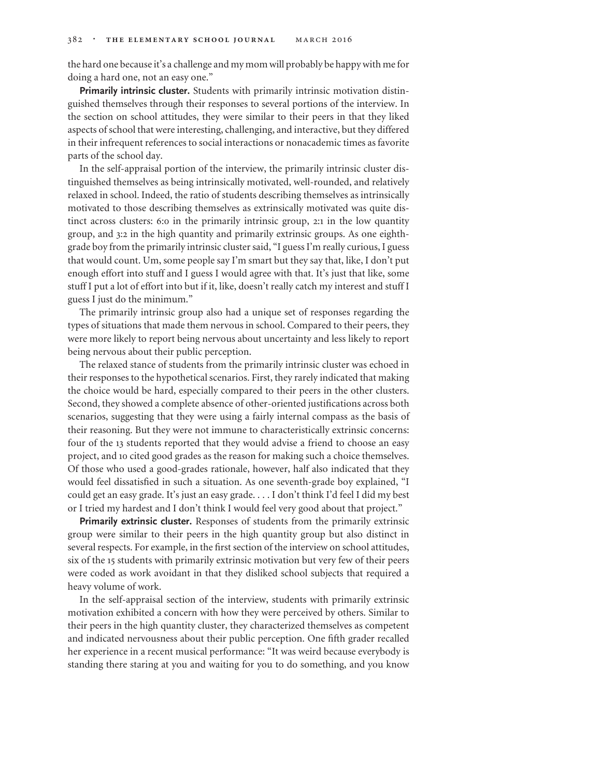the hard one because it's a challenge and my mom will probably be happy with me for doing a hard one, not an easy one."

**Primarily intrinsic cluster.** Students with primarily intrinsic motivation distinguished themselves through their responses to several portions of the interview. In the section on school attitudes, they were similar to their peers in that they liked aspects of school that were interesting, challenging, and interactive, but they differed in their infrequent references to social interactions or nonacademic times as favorite parts of the school day.

In the self-appraisal portion of the interview, the primarily intrinsic cluster distinguished themselves as being intrinsically motivated, well-rounded, and relatively relaxed in school. Indeed, the ratio of students describing themselves as intrinsically motivated to those describing themselves as extrinsically motivated was quite distinct across clusters: 6:0 in the primarily intrinsic group, 2:1 in the low quantity group, and 3:2 in the high quantity and primarily extrinsic groups. As one eighthgrade boy from the primarily intrinsic cluster said, "I guess I'm really curious, I guess that would count. Um, some people say I'm smart but they say that, like, I don't put enough effort into stuff and I guess I would agree with that. It's just that like, some stuff I put a lot of effort into but if it, like, doesn't really catch my interest and stuff I guess I just do the minimum."

The primarily intrinsic group also had a unique set of responses regarding the types of situations that made them nervous in school. Compared to their peers, they were more likely to report being nervous about uncertainty and less likely to report being nervous about their public perception.

The relaxed stance of students from the primarily intrinsic cluster was echoed in their responses to the hypothetical scenarios. First, they rarely indicated that making the choice would be hard, especially compared to their peers in the other clusters. Second, they showed a complete absence of other-oriented justifications across both scenarios, suggesting that they were using a fairly internal compass as the basis of their reasoning. But they were not immune to characteristically extrinsic concerns: four of the 13 students reported that they would advise a friend to choose an easy project, and 10 cited good grades as the reason for making such a choice themselves. Of those who used a good-grades rationale, however, half also indicated that they would feel dissatisfied in such a situation. As one seventh-grade boy explained, "I could get an easy grade. It's just an easy grade. . . . I don't think I'd feel I did my best or I tried my hardest and I don't think I would feel very good about that project."

**Primarily extrinsic cluster.** Responses of students from the primarily extrinsic group were similar to their peers in the high quantity group but also distinct in several respects. For example, in the first section of the interview on school attitudes, six of the 15 students with primarily extrinsic motivation but very few of their peers were coded as work avoidant in that they disliked school subjects that required a heavy volume of work.

In the self-appraisal section of the interview, students with primarily extrinsic motivation exhibited a concern with how they were perceived by others. Similar to their peers in the high quantity cluster, they characterized themselves as competent and indicated nervousness about their public perception. One fifth grader recalled her experience in a recent musical performance: "It was weird because everybody is standing there staring at you and waiting for you to do something, and you know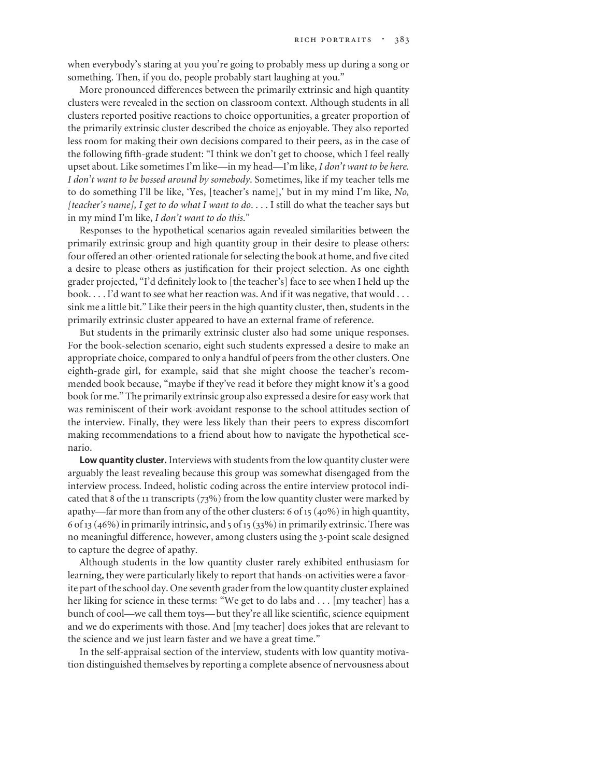when everybody's staring at you you're going to probably mess up during a song or something. Then, if you do, people probably start laughing at you."

More pronounced differences between the primarily extrinsic and high quantity clusters were revealed in the section on classroom context. Although students in all clusters reported positive reactions to choice opportunities, a greater proportion of the primarily extrinsic cluster described the choice as enjoyable. They also reported less room for making their own decisions compared to their peers, as in the case of the following fifth-grade student: "I think we don't get to choose, which I feel really upset about. Like sometimes I'm like—in my head—I'm like, *I don't want to be here. I don't want to be bossed around by somebody*. Sometimes, like if my teacher tells me to do something I'll be like, 'Yes, [teacher's name],' but in my mind I'm like, *No, [teacher's name], I get to do what I want to do*. . . . I still do what the teacher says but in my mind I'm like, *I don't want to do this*."

Responses to the hypothetical scenarios again revealed similarities between the primarily extrinsic group and high quantity group in their desire to please others: four offered an other-oriented rationale for selecting the book at home, and five cited a desire to please others as justification for their project selection. As one eighth grader projected, "I'd definitely look to [the teacher's] face to see when I held up the book. . . . I'd want to see what her reaction was. And if it was negative, that would . . . sink me a little bit." Like their peers in the high quantity cluster, then, students in the primarily extrinsic cluster appeared to have an external frame of reference.

But students in the primarily extrinsic cluster also had some unique responses. For the book-selection scenario, eight such students expressed a desire to make an appropriate choice, compared to only a handful of peers from the other clusters. One eighth-grade girl, for example, said that she might choose the teacher's recommended book because, "maybe if they've read it before they might know it's a good book for me." The primarily extrinsic group also expressed a desire for easy work that was reminiscent of their work-avoidant response to the school attitudes section of the interview. Finally, they were less likely than their peers to express discomfort making recommendations to a friend about how to navigate the hypothetical scenario.

**Low quantity cluster.** Interviews with students from the low quantity cluster were arguably the least revealing because this group was somewhat disengaged from the interview process. Indeed, holistic coding across the entire interview protocol indicated that 8 of the 11 transcripts  $(73%)$  from the low quantity cluster were marked by apathy—far more than from any of the other clusters: 6 of 15  $(40\%)$  in high quantity, 6 of 13 (46%) in primarily intrinsic, and 5 of 15 (33%) in primarily extrinsic. There was no meaningful difference, however, among clusters using the 3-point scale designed to capture the degree of apathy.

Although students in the low quantity cluster rarely exhibited enthusiasm for learning, they were particularly likely to report that hands-on activities were a favorite part of the school day. One seventh grader from the low quantity cluster explained her liking for science in these terms: "We get to do labs and . . . [my teacher] has a bunch of cool—we call them toys— but they're all like scientific, science equipment and we do experiments with those. And [my teacher] does jokes that are relevant to the science and we just learn faster and we have a great time."

In the self-appraisal section of the interview, students with low quantity motivation distinguished themselves by reporting a complete absence of nervousness about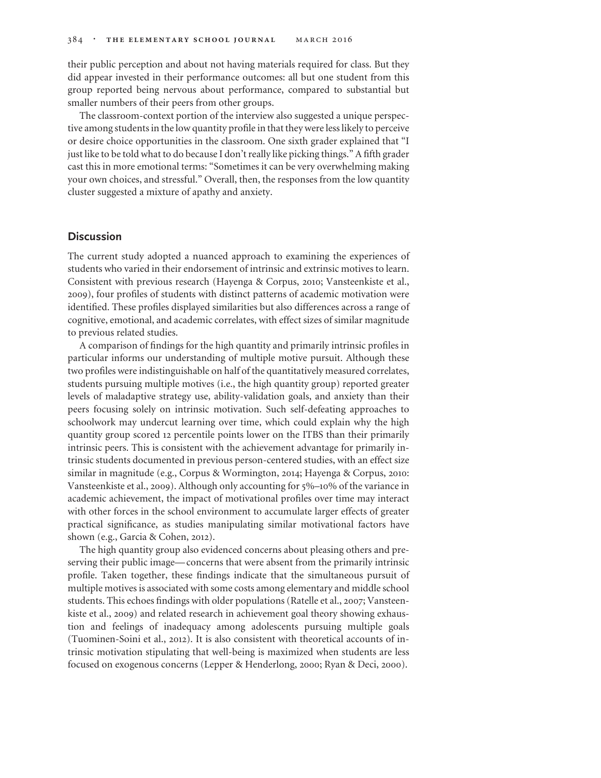their public perception and about not having materials required for class. But they did appear invested in their performance outcomes: all but one student from this group reported being nervous about performance, compared to substantial but smaller numbers of their peers from other groups.

The classroom-context portion of the interview also suggested a unique perspective among students in the low quantity profile in that they were less likely to perceive or desire choice opportunities in the classroom. One sixth grader explained that "I just like to be told what to do because I don't really like picking things." A fifth grader cast this in more emotional terms: "Sometimes it can be very overwhelming making your own choices, and stressful." Overall, then, the responses from the low quantity cluster suggested a mixture of apathy and anxiety.

### **Discussion**

The current study adopted a nuanced approach to examining the experiences of students who varied in their endorsement of intrinsic and extrinsic motives to learn. Consistent with previous research (Hayenga & Corpus, 2010; Vansteenkiste et al., 2009), four profiles of students with distinct patterns of academic motivation were identified. These profiles displayed similarities but also differences across a range of cognitive, emotional, and academic correlates, with effect sizes of similar magnitude to previous related studies.

A comparison of findings for the high quantity and primarily intrinsic profiles in particular informs our understanding of multiple motive pursuit. Although these two profiles were indistinguishable on half of the quantitatively measured correlates, students pursuing multiple motives (i.e., the high quantity group) reported greater levels of maladaptive strategy use, ability-validation goals, and anxiety than their peers focusing solely on intrinsic motivation. Such self-defeating approaches to schoolwork may undercut learning over time, which could explain why the high quantity group scored 12 percentile points lower on the ITBS than their primarily intrinsic peers. This is consistent with the achievement advantage for primarily intrinsic students documented in previous person-centered studies, with an effect size similar in magnitude (e.g., Corpus & Wormington, 2014; Hayenga & Corpus, 2010: Vansteenkiste et al., 2009). Although only accounting for 5%-10% of the variance in academic achievement, the impact of motivational profiles over time may interact with other forces in the school environment to accumulate larger effects of greater practical significance, as studies manipulating similar motivational factors have shown (e.g., Garcia & Cohen, 2012).

The high quantity group also evidenced concerns about pleasing others and preserving their public image— concerns that were absent from the primarily intrinsic profile. Taken together, these findings indicate that the simultaneous pursuit of multiple motives is associated with some costs among elementary and middle school students. This echoes findings with older populations (Ratelle et al., 2007; Vansteenkiste et al., 2009) and related research in achievement goal theory showing exhaustion and feelings of inadequacy among adolescents pursuing multiple goals (Tuominen-Soini et al., 2012). It is also consistent with theoretical accounts of intrinsic motivation stipulating that well-being is maximized when students are less focused on exogenous concerns (Lepper & Henderlong, 2000; Ryan & Deci, 2000).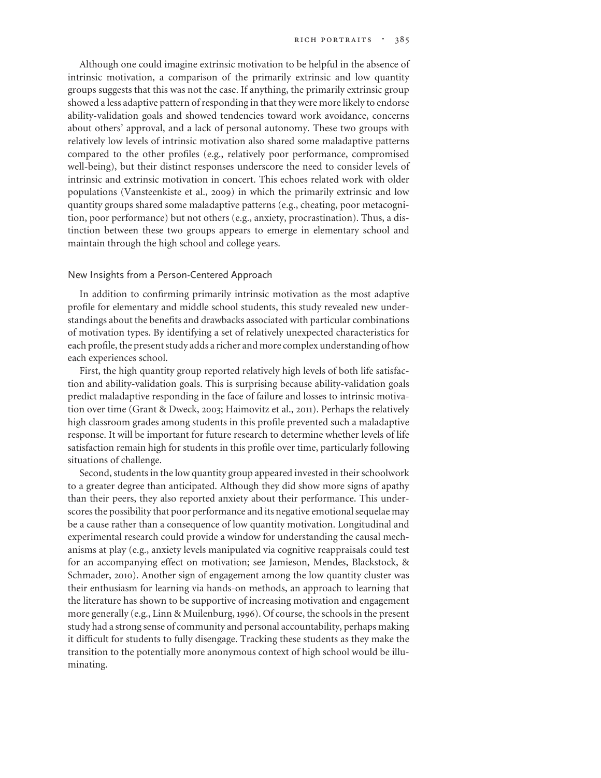Although one could imagine extrinsic motivation to be helpful in the absence of intrinsic motivation, a comparison of the primarily extrinsic and low quantity groups suggests that this was not the case. If anything, the primarily extrinsic group showed a less adaptive pattern of responding in that they were more likely to endorse ability-validation goals and showed tendencies toward work avoidance, concerns about others' approval, and a lack of personal autonomy. These two groups with relatively low levels of intrinsic motivation also shared some maladaptive patterns compared to the other profiles (e.g., relatively poor performance, compromised well-being), but their distinct responses underscore the need to consider levels of intrinsic and extrinsic motivation in concert. This echoes related work with older populations (Vansteenkiste et al., 2009) in which the primarily extrinsic and low quantity groups shared some maladaptive patterns (e.g., cheating, poor metacognition, poor performance) but not others (e.g., anxiety, procrastination). Thus, a distinction between these two groups appears to emerge in elementary school and maintain through the high school and college years.

### New Insights from a Person-Centered Approach

In addition to confirming primarily intrinsic motivation as the most adaptive profile for elementary and middle school students, this study revealed new understandings about the benefits and drawbacks associated with particular combinations of motivation types. By identifying a set of relatively unexpected characteristics for each profile, the present study adds a richer and more complex understanding of how each experiences school.

First, the high quantity group reported relatively high levels of both life satisfaction and ability-validation goals. This is surprising because ability-validation goals predict maladaptive responding in the face of failure and losses to intrinsic motivation over time (Grant & Dweck, 2003; Haimovitz et al., 2011). Perhaps the relatively high classroom grades among students in this profile prevented such a maladaptive response. It will be important for future research to determine whether levels of life satisfaction remain high for students in this profile over time, particularly following situations of challenge.

Second, students in the low quantity group appeared invested in their schoolwork to a greater degree than anticipated. Although they did show more signs of apathy than their peers, they also reported anxiety about their performance. This underscores the possibility that poor performance and its negative emotional sequelae may be a cause rather than a consequence of low quantity motivation. Longitudinal and experimental research could provide a window for understanding the causal mechanisms at play (e.g., anxiety levels manipulated via cognitive reappraisals could test for an accompanying effect on motivation; see Jamieson, Mendes, Blackstock, & Schmader, 2010). Another sign of engagement among the low quantity cluster was their enthusiasm for learning via hands-on methods, an approach to learning that the literature has shown to be supportive of increasing motivation and engagement more generally (e.g., Linn & Muilenburg, 1996). Of course, the schools in the present study had a strong sense of community and personal accountability, perhaps making it difficult for students to fully disengage. Tracking these students as they make the transition to the potentially more anonymous context of high school would be illuminating.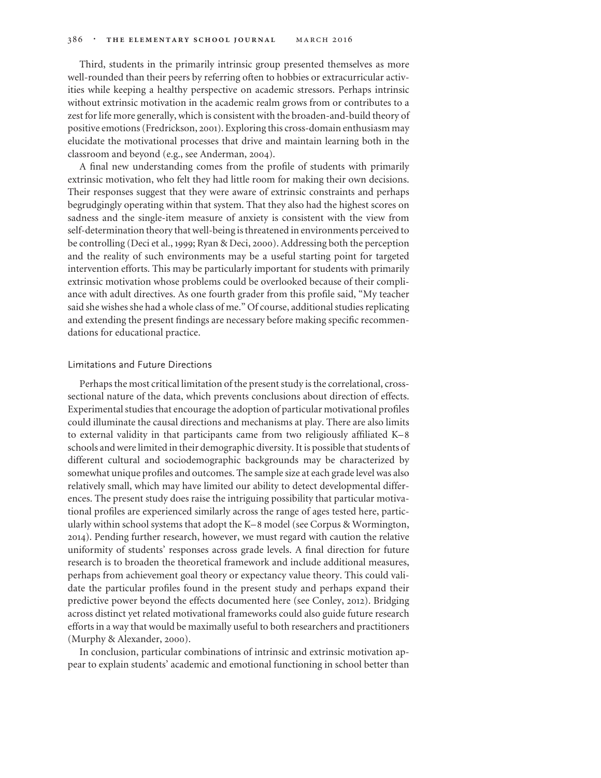Third, students in the primarily intrinsic group presented themselves as more well-rounded than their peers by referring often to hobbies or extracurricular activities while keeping a healthy perspective on academic stressors. Perhaps intrinsic without extrinsic motivation in the academic realm grows from or contributes to a zest for life more generally, which is consistent with the broaden-and-build theory of positive emotions (Fredrickson, 2001). Exploring this cross-domain enthusiasm may elucidate the motivational processes that drive and maintain learning both in the classroom and beyond (e.g., see Anderman, 2004).

A final new understanding comes from the profile of students with primarily extrinsic motivation, who felt they had little room for making their own decisions. Their responses suggest that they were aware of extrinsic constraints and perhaps begrudgingly operating within that system. That they also had the highest scores on sadness and the single-item measure of anxiety is consistent with the view from self-determination theory that well-being is threatened in environments perceived to be controlling (Deci et al., 1999; Ryan & Deci, 2000). Addressing both the perception and the reality of such environments may be a useful starting point for targeted intervention efforts. This may be particularly important for students with primarily extrinsic motivation whose problems could be overlooked because of their compliance with adult directives. As one fourth grader from this profile said, "My teacher said she wishes she had a whole class of me." Of course, additional studies replicating and extending the present findings are necessary before making specific recommendations for educational practice.

#### Limitations and Future Directions

Perhaps the most critical limitation of the present study is the correlational, crosssectional nature of the data, which prevents conclusions about direction of effects. Experimental studies that encourage the adoption of particular motivational profiles could illuminate the causal directions and mechanisms at play. There are also limits to external validity in that participants came from two religiously affiliated K–8 schools and were limited in their demographic diversity. It is possible that students of different cultural and sociodemographic backgrounds may be characterized by somewhat unique profiles and outcomes. The sample size at each grade level was also relatively small, which may have limited our ability to detect developmental differences. The present study does raise the intriguing possibility that particular motivational profiles are experienced similarly across the range of ages tested here, particularly within school systems that adopt the K–8 model (see Corpus & Wormington, 2014). Pending further research, however, we must regard with caution the relative uniformity of students' responses across grade levels. A final direction for future research is to broaden the theoretical framework and include additional measures, perhaps from achievement goal theory or expectancy value theory. This could validate the particular profiles found in the present study and perhaps expand their predictive power beyond the effects documented here (see Conley, 2012). Bridging across distinct yet related motivational frameworks could also guide future research efforts in a way that would be maximally useful to both researchers and practitioners (Murphy & Alexander, 2000).

In conclusion, particular combinations of intrinsic and extrinsic motivation appear to explain students' academic and emotional functioning in school better than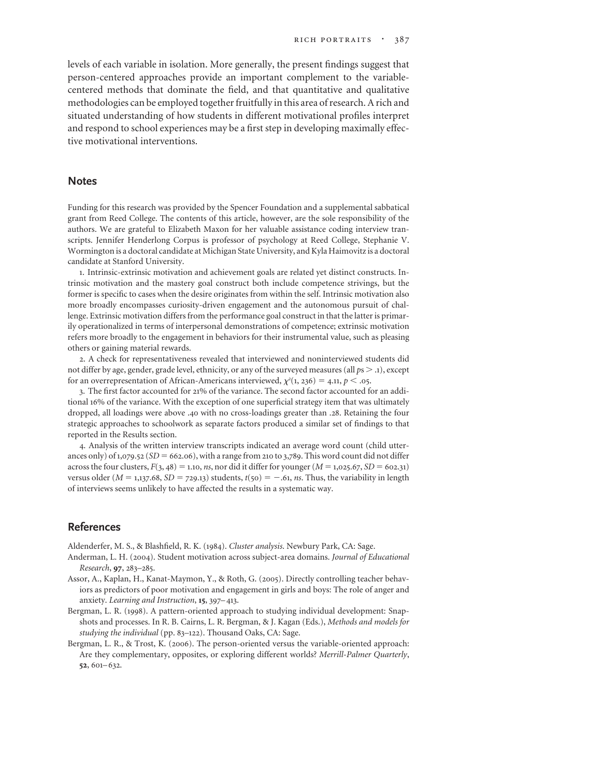levels of each variable in isolation. More generally, the present findings suggest that person-centered approaches provide an important complement to the variablecentered methods that dominate the field, and that quantitative and qualitative methodologies can be employed together fruitfully in this area of research. A rich and situated understanding of how students in different motivational profiles interpret and respond to school experiences may be a first step in developing maximally effective motivational interventions.

#### **Notes**

Funding for this research was provided by the Spencer Foundation and a supplemental sabbatical grant from Reed College. The contents of this article, however, are the sole responsibility of the authors. We are grateful to Elizabeth Maxon for her valuable assistance coding interview transcripts. Jennifer Henderlong Corpus is professor of psychology at Reed College, Stephanie V. Wormington is a doctoral candidate at Michigan State University, and Kyla Haimovitz is a doctoral candidate at Stanford University.

1. Intrinsic-extrinsic motivation and achievement goals are related yet distinct constructs. Intrinsic motivation and the mastery goal construct both include competence strivings, but the former is specific to cases when the desire originates from within the self. Intrinsic motivation also more broadly encompasses curiosity-driven engagement and the autonomous pursuit of challenge. Extrinsic motivation differs from the performance goal construct in that the latter is primarily operationalized in terms of interpersonal demonstrations of competence; extrinsic motivation refers more broadly to the engagement in behaviors for their instrumental value, such as pleasing others or gaining material rewards.

2. A check for representativeness revealed that interviewed and noninterviewed students did not differ by age, gender, grade level, ethnicity, or any of the surveyed measures (all *p*s - .1), except for an overrepresentation of African-Americans interviewed,  $\chi^2(1, 236) = 4.11$ ,  $p < .05$ .

3. The first factor accounted for 21% of the variance. The second factor accounted for an additional 16% of the variance. With the exception of one superficial strategy item that was ultimately dropped, all loadings were above .40 with no cross-loadings greater than .28. Retaining the four strategic approaches to schoolwork as separate factors produced a similar set of findings to that reported in the Results section.

4. Analysis of the written interview transcripts indicated an average word count (child utterances only) of  $1,079.52$  (*SD* = 662.06), with a range from 210 to  $3,789$ . This word count did not differ across the four clusters,  $F(3, 48) = 1.10$ , *ns*, nor did it differ for younger ( $M = 1,025.67$ ,  $SD = 602.31$ ) versus older ( $M = 1,137.68$ ,  $SD = 729.13$ ) students,  $t(50) = -.61$ , *ns*. Thus, the variability in length of interviews seems unlikely to have affected the results in a systematic way.

# **References**

Aldenderfer, M. S., & Blashfield, R. K. (1984). *Cluster analysis*. Newbury Park, CA: Sage.

- Anderman, L. H. (2004). Student motivation across subject-area domains. *Journal of Educational Research*, **97**, 283–285.
- Assor, A., Kaplan, H., Kanat-Maymon, Y., & Roth, G. (2005). Directly controlling teacher behaviors as predictors of poor motivation and engagement in girls and boys: The role of anger and anxiety. *Learning and Instruction*, **15**, 397–413.
- Bergman, L. R. (1998). A pattern-oriented approach to studying individual development: Snapshots and processes. In R. B. Cairns, L. R. Bergman, & J. Kagan (Eds.), *Methods and models for studying the individual* (pp. 83–122). Thousand Oaks, CA: Sage.
- Bergman, L. R., & Trost, K. (2006). The person-oriented versus the variable-oriented approach: Are they complementary, opposites, or exploring different worlds? *Merrill-Palmer Quarterly*, **52**, 601–632.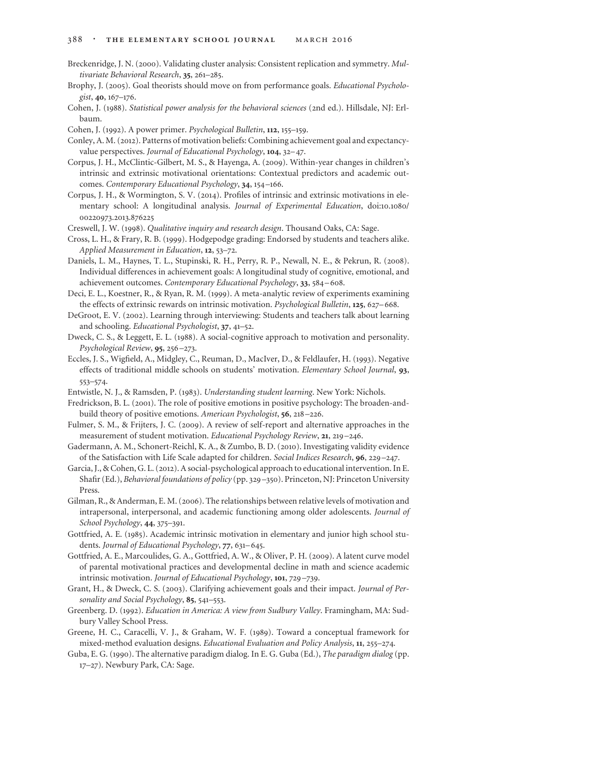- Breckenridge, J. N. (2000). Validating cluster analysis: Consistent replication and symmetry. *Multivariate Behavioral Research*, **35**, 261–285.
- Brophy, J. (2005). Goal theorists should move on from performance goals. *Educational Psychologist*, **40**, 167–176.
- Cohen, J. (1988). *Statistical power analysis for the behavioral sciences* (2nd ed.). Hillsdale, NJ: Erlbaum.

Cohen, J. (1992). A power primer. *Psychological Bulletin*, **112**, 155–159.

- Conley, A. M. (2012). Patterns of motivation beliefs: Combining achievement goal and expectancyvalue perspectives. *Journal of Educational Psychology*, **104**, 32–47.
- Corpus, J. H., McClintic-Gilbert, M. S., & Hayenga, A. (2009). Within-year changes in children's intrinsic and extrinsic motivational orientations: Contextual predictors and academic outcomes. *Contemporary Educational Psychology*, **34**, 154–166.
- Corpus, J. H., & Wormington, S. V. (2014). Profiles of intrinsic and extrinsic motivations in elementary school: A longitudinal analysis. *Journal of Experimental Education*, doi:10.1080/ 00220973.2013.876225

Creswell, J. W. (1998). *Qualitative inquiry and research design*. Thousand Oaks, CA: Sage.

- Cross, L. H., & Frary, R. B. (1999). Hodgepodge grading: Endorsed by students and teachers alike. *Applied Measurement in Education*, **12**, 53–72.
- Daniels, L. M., Haynes, T. L., Stupinski, R. H., Perry, R. P., Newall, N. E., & Pekrun, R. (2008). Individual differences in achievement goals: A longitudinal study of cognitive, emotional, and achievement outcomes. *Contemporary Educational Psychology*, **33**, 584–608.
- Deci, E. L., Koestner, R., & Ryan, R. M. (1999). A meta-analytic review of experiments examining the effects of extrinsic rewards on intrinsic motivation. *Psychological Bulletin*, **125**, 627–668.
- DeGroot, E. V. (2002). Learning through interviewing: Students and teachers talk about learning and schooling. *Educational Psychologist*, **37**, 41–52.
- Dweck, C. S., & Leggett, E. L. (1988). A social-cognitive approach to motivation and personality. *Psychological Review*, **95**, 256–273.
- Eccles, J. S., Wigfield, A., Midgley, C., Reuman, D., MacIver, D., & Feldlaufer, H. (1993). Negative effects of traditional middle schools on students' motivation. *Elementary School Journal*, **93**, 553–574.
- Entwistle, N. J., & Ramsden, P. (1983). *Understanding student learning*. New York: Nichols.
- Fredrickson, B. L. (2001). The role of positive emotions in positive psychology: The broaden-andbuild theory of positive emotions. *American Psychologist*, **56**, 218–226.
- Fulmer, S. M., & Frijters, J. C. (2009). A review of self-report and alternative approaches in the measurement of student motivation. *Educational Psychology Review*, **21**, 219–246.
- Gadermann, A. M., Schonert-Reichl, K. A., & Zumbo, B. D. (2010). Investigating validity evidence of the Satisfaction with Life Scale adapted for children. *Social Indices Research*, **96**, 229–247.
- Garcia, J., & Cohen, G. L. (2012). A social-psychological approach to educational intervention. In E. Shafir (Ed.), *Behavioral foundations of policy* (pp.329–350). Princeton, NJ: Princeton University Press.
- Gilman, R., & Anderman, E. M. (2006). The relationships between relative levels of motivation and intrapersonal, interpersonal, and academic functioning among older adolescents. *Journal of School Psychology*, **44**, 375–391.
- Gottfried, A. E. (1985). Academic intrinsic motivation in elementary and junior high school students. *Journal of Educational Psychology*, **77**, 631–645.
- Gottfried, A. E., Marcoulides, G. A., Gottfried, A. W., & Oliver, P. H. (2009). A latent curve model of parental motivational practices and developmental decline in math and science academic intrinsic motivation. *Journal of Educational Psychology*, **101**, 729–739.
- Grant, H., & Dweck, C. S. (2003). Clarifying achievement goals and their impact. *Journal of Personality and Social Psychology*, **85**, 541–553.
- Greenberg. D. (1992). *Education in America: A view from Sudbury Valley*. Framingham, MA: Sudbury Valley School Press.
- Greene, H. C., Caracelli, V. J., & Graham, W. F. (1989). Toward a conceptual framework for mixed-method evaluation designs. *Educational Evaluation and Policy Analysis*, **11**, 255–274.
- Guba, E. G. (1990). The alternative paradigm dialog. In E. G. Guba (Ed.), *The paradigm dialog* (pp. 17–27). Newbury Park, CA: Sage.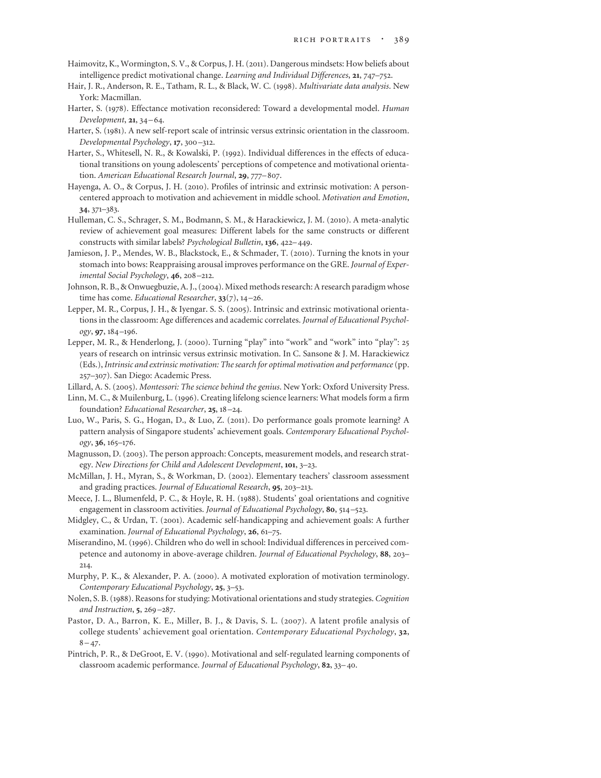- Haimovitz, K., Wormington, S. V., & Corpus, J. H. (2011). Dangerous mindsets: How beliefs about intelligence predict motivational change. *Learning and Individual Differences*, **21**, 747–752.
- Hair, J. R., Anderson, R. E., Tatham, R. L., & Black, W. C. (1998). *Multivariate data analysis*. New York: Macmillan.
- Harter, S. (1978). Effectance motivation reconsidered: Toward a developmental model. *Human Development*, **21**, 34–64.
- Harter, S. (1981). A new self-report scale of intrinsic versus extrinsic orientation in the classroom. *Developmental Psychology*, **17**, 300–312.
- Harter, S., Whitesell, N. R., & Kowalski, P. (1992). Individual differences in the effects of educational transitions on young adolescents' perceptions of competence and motivational orientation. *American Educational Research Journal*, **29**, 777–807.
- Hayenga, A. O., & Corpus, J. H. (2010). Profiles of intrinsic and extrinsic motivation: A personcentered approach to motivation and achievement in middle school. *Motivation and Emotion*, **34**, 371–383.
- Hulleman, C. S., Schrager, S. M., Bodmann, S. M., & Harackiewicz, J. M. (2010). A meta-analytic review of achievement goal measures: Different labels for the same constructs or different constructs with similar labels? *Psychological Bulletin*, **136**, 422–449.
- Jamieson, J. P., Mendes, W. B., Blackstock, E., & Schmader, T. (2010). Turning the knots in your stomach into bows: Reappraising arousal improves performance on the GRE. *Journal of Experimental Social Psychology*, **46**, 208–212.
- Johnson, R. B., & Onwuegbuzie, A. J., (2004). Mixed methods research: A research paradigm whose time has come. *Educational Researcher*, **33**(7), 14–26.
- Lepper, M. R., Corpus, J. H., & Iyengar. S. S. (2005). Intrinsic and extrinsic motivational orientations in the classroom: Age differences and academic correlates. *Journal of Educational Psychology*, **97**, 184–196.
- Lepper, M. R., & Henderlong, J. (2000). Turning "play" into "work" and "work" into "play": 25 years of research on intrinsic versus extrinsic motivation. In C. Sansone & J. M. Harackiewicz (Eds.), *Intrinsic and extrinsic motivation: The search for optimal motivation and performance*(pp. 257–307). San Diego: Academic Press.
- Lillard, A. S. (2005). *Montessori: The science behind the genius*. New York: Oxford University Press.
- Linn, M. C., & Muilenburg, L. (1996). Creating lifelong science learners: What models form a firm foundation? *Educational Researcher*, **25**, 18–24.
- Luo, W., Paris, S. G., Hogan, D., & Luo, Z. (2011). Do performance goals promote learning? A pattern analysis of Singapore students' achievement goals. *Contemporary Educational Psychology*, **36**, 165–176.
- Magnusson, D. (2003). The person approach: Concepts, measurement models, and research strategy. *New Directions for Child and Adolescent Development*, **101**, 3–23.
- McMillan, J. H., Myran, S., & Workman, D. (2002). Elementary teachers' classroom assessment and grading practices. *Journal of Educational Research*, **95**, 203–213.
- Meece, J. L., Blumenfeld, P. C., & Hoyle, R. H. (1988). Students' goal orientations and cognitive engagement in classroom activities. *Journal of Educational Psychology*, **80**, 514–523.
- Midgley, C., & Urdan, T. (2001). Academic self-handicapping and achievement goals: A further examination. *Journal of Educational Psychology*, **26**, 61–75.
- Miserandino, M. (1996). Children who do well in school: Individual differences in perceived competence and autonomy in above-average children. *Journal of Educational Psychology*, **88**, 203– 214.
- Murphy, P. K., & Alexander, P. A. (2000). A motivated exploration of motivation terminology. *Contemporary Educational Psychology*, **25**, 3–53.
- Nolen, S. B. (1988). Reasons for studying: Motivational orientations and study strategies. *Cognition and Instruction*, **5**, 269–287.
- Pastor, D. A., Barron, K. E., Miller, B. J., & Davis, S. L. (2007). A latent profile analysis of college students' achievement goal orientation. *Contemporary Educational Psychology*, **32**,  $8 - 47.$
- Pintrich, P. R., & DeGroot, E. V. (1990). Motivational and self-regulated learning components of classroom academic performance. *Journal of Educational Psychology*, **82**, 33–40.